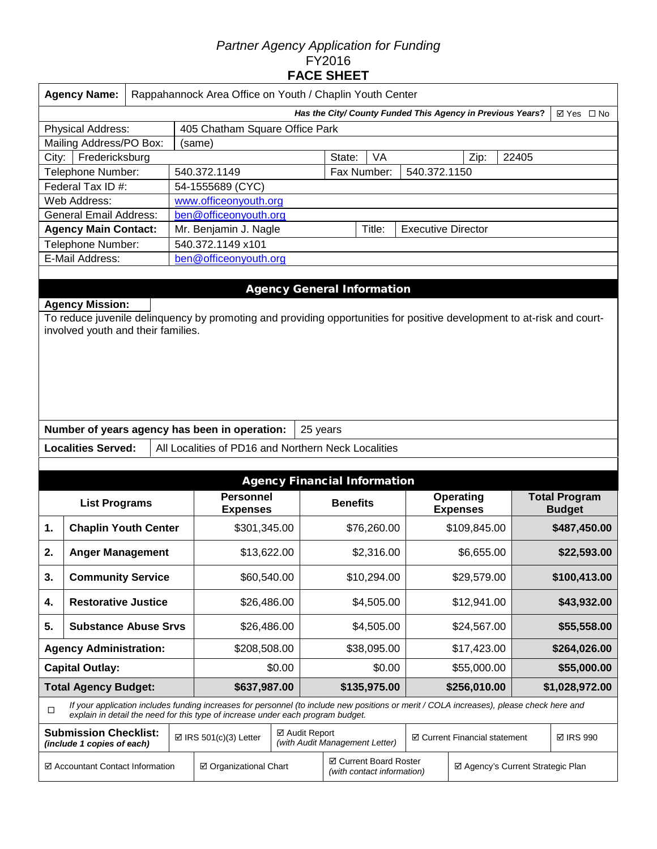# *Partner Agency Application for Funding*  FY2016 **FACE SHEET**

| <b>Agency Name:</b>                                                      |                                | Rappahannock Area Office on Youth / Chaplin Youth Center |  |              |                           |      |       |  |  |  |  |  |
|--------------------------------------------------------------------------|--------------------------------|----------------------------------------------------------|--|--------------|---------------------------|------|-------|--|--|--|--|--|
| Has the City/ County Funded This Agency in Previous Years?<br>⊠ Yes □ No |                                |                                                          |  |              |                           |      |       |  |  |  |  |  |
| <b>Physical Address:</b>                                                 | 405 Chatham Square Office Park |                                                          |  |              |                           |      |       |  |  |  |  |  |
| Mailing Address/PO Box:                                                  |                                | (same)                                                   |  |              |                           |      |       |  |  |  |  |  |
| City:                                                                    | Fredericksburg                 |                                                          |  | VA<br>State: |                           | Zip: | 22405 |  |  |  |  |  |
| Telephone Number:                                                        |                                | 540.372.1149                                             |  | Fax Number:  | 540.372.1150              |      |       |  |  |  |  |  |
| Federal Tax ID #:                                                        |                                | 54-1555689 (CYC)                                         |  |              |                           |      |       |  |  |  |  |  |
| Web Address:                                                             |                                | www.officeonyouth.org                                    |  |              |                           |      |       |  |  |  |  |  |
| <b>General Email Address:</b>                                            |                                | ben@officeonyouth.org                                    |  |              |                           |      |       |  |  |  |  |  |
| <b>Agency Main Contact:</b><br>Mr. Benjamin J. Nagle                     |                                |                                                          |  | Title:       | <b>Executive Director</b> |      |       |  |  |  |  |  |
| Telephone Number:                                                        |                                | 540.372.1149 x101                                        |  |              |                           |      |       |  |  |  |  |  |
| E-Mail Address:                                                          |                                | ben@officeonyouth.org                                    |  |              |                           |      |       |  |  |  |  |  |
|                                                                          |                                |                                                          |  |              |                           |      |       |  |  |  |  |  |

# Agency General Information

**Agency Mission:** To reduce juvenile delinquency by promoting and providing opportunities for positive development to at-risk and courtinvolved youth and their families.

|                           | Number of years agency has been in operation:   25 years |  |
|---------------------------|----------------------------------------------------------|--|
| <b>Localities Served:</b> | All Localities of PD16 and Northern Neck Localities      |  |

|                                                                                                                                                                                                                                       | <b>Agency Financial Information</b> |  |                                                    |  |                 |                                                      |                                     |                                   |  |                                       |  |
|---------------------------------------------------------------------------------------------------------------------------------------------------------------------------------------------------------------------------------------|-------------------------------------|--|----------------------------------------------------|--|-----------------|------------------------------------------------------|-------------------------------------|-----------------------------------|--|---------------------------------------|--|
|                                                                                                                                                                                                                                       | <b>List Programs</b>                |  | <b>Personnel</b><br><b>Expenses</b>                |  | <b>Benefits</b> |                                                      | <b>Operating</b><br><b>Expenses</b> |                                   |  | <b>Total Program</b><br><b>Budget</b> |  |
| 1.                                                                                                                                                                                                                                    | <b>Chaplin Youth Center</b>         |  | \$301,345.00                                       |  |                 | \$76,260.00                                          |                                     | \$109,845.00                      |  | \$487,450.00                          |  |
| 2.                                                                                                                                                                                                                                    | <b>Anger Management</b>             |  | \$13,622.00                                        |  | \$2,316.00      |                                                      | \$6,655.00                          |                                   |  | \$22,593.00                           |  |
| 3.                                                                                                                                                                                                                                    | <b>Community Service</b>            |  | \$60,540.00                                        |  | \$10,294.00     |                                                      |                                     | \$29,579.00                       |  | \$100,413.00                          |  |
| 4.                                                                                                                                                                                                                                    | <b>Restorative Justice</b>          |  | \$26,486.00                                        |  | \$4,505.00      |                                                      | \$12,941.00                         |                                   |  | \$43,932.00                           |  |
| 5.<br><b>Substance Abuse Srvs</b>                                                                                                                                                                                                     |                                     |  | \$26,486.00                                        |  | \$4,505.00      |                                                      |                                     | \$24,567.00                       |  | \$55,558.00                           |  |
|                                                                                                                                                                                                                                       | <b>Agency Administration:</b>       |  | \$208,508.00                                       |  | \$38,095.00     |                                                      |                                     | \$17,423.00                       |  | \$264,026.00                          |  |
|                                                                                                                                                                                                                                       | <b>Capital Outlay:</b>              |  | \$0.00                                             |  | \$0.00          |                                                      | \$55,000.00                         |                                   |  | \$55,000.00                           |  |
|                                                                                                                                                                                                                                       | <b>Total Agency Budget:</b>         |  | \$637,987.00                                       |  |                 | \$135,975.00                                         |                                     | \$256,010.00                      |  | \$1,028,972.00                        |  |
| If your application includes funding increases for personnel (to include new positions or merit / COLA increases), please check here and<br>$\Box$<br>explain in detail the need for this type of increase under each program budget. |                                     |  |                                                    |  |                 |                                                      |                                     |                                   |  |                                       |  |
| <b>Submission Checklist:</b><br>(include 1 copies of each)                                                                                                                                                                            |                                     |  | ☑ Audit Report<br>$\boxtimes$ IRS 501(c)(3) Letter |  |                 | (with Audit Management Letter)                       | ☑ Current Financial statement       |                                   |  | <b>⊠ IRS 990</b>                      |  |
| ☑ Accountant Contact Information                                                                                                                                                                                                      |                                     |  | ☑ Organizational Chart                             |  |                 | ☑ Current Board Roster<br>(with contact information) |                                     | ☑ Agency's Current Strategic Plan |  |                                       |  |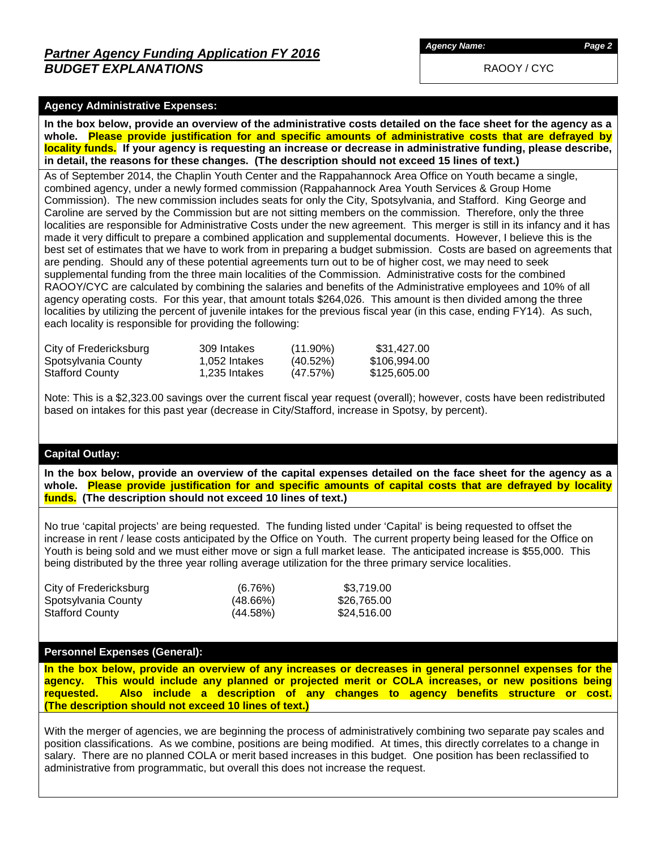RAOOY / CYC

### **Agency Administrative Expenses:**

**In the box below, provide an overview of the administrative costs detailed on the face sheet for the agency as a whole. Please provide justification for and specific amounts of administrative costs that are defrayed by locality funds. If your agency is requesting an increase or decrease in administrative funding, please describe, in detail, the reasons for these changes. (The description should not exceed 15 lines of text.)**

As of September 2014, the Chaplin Youth Center and the Rappahannock Area Office on Youth became a single, combined agency, under a newly formed commission (Rappahannock Area Youth Services & Group Home Commission). The new commission includes seats for only the City, Spotsylvania, and Stafford. King George and Caroline are served by the Commission but are not sitting members on the commission. Therefore, only the three localities are responsible for Administrative Costs under the new agreement. This merger is still in its infancy and it has made it very difficult to prepare a combined application and supplemental documents. However, I believe this is the best set of estimates that we have to work from in preparing a budget submission. Costs are based on agreements that are pending. Should any of these potential agreements turn out to be of higher cost, we may need to seek supplemental funding from the three main localities of the Commission. Administrative costs for the combined RAOOY/CYC are calculated by combining the salaries and benefits of the Administrative employees and 10% of all agency operating costs. For this year, that amount totals \$264,026. This amount is then divided among the three localities by utilizing the percent of juvenile intakes for the previous fiscal year (in this case, ending FY14). As such, each locality is responsible for providing the following:

| City of Fredericksburg | 309 Intakes   | $(11.90\%)$ | \$31,427.00  |
|------------------------|---------------|-------------|--------------|
| Spotsylvania County    | 1.052 Intakes | $(40.52\%)$ | \$106,994.00 |
| <b>Stafford County</b> | 1,235 Intakes | (47.57%)    | \$125,605.00 |

Note: This is a \$2,323.00 savings over the current fiscal year request (overall); however, costs have been redistributed based on intakes for this past year (decrease in City/Stafford, increase in Spotsy, by percent).

### **Capital Outlay:**

**In the box below, provide an overview of the capital expenses detailed on the face sheet for the agency as a whole. Please provide justification for and specific amounts of capital costs that are defrayed by locality funds. (The description should not exceed 10 lines of text.)**

No true 'capital projects' are being requested. The funding listed under 'Capital' is being requested to offset the increase in rent / lease costs anticipated by the Office on Youth. The current property being leased for the Office on Youth is being sold and we must either move or sign a full market lease. The anticipated increase is \$55,000. This being distributed by the three year rolling average utilization for the three primary service localities.

| City of Fredericksburg | (6.76%)     | \$3.719.00  |
|------------------------|-------------|-------------|
| Spotsylvania County    | $(48.66\%)$ | \$26,765.00 |
| <b>Stafford County</b> | $(44.58\%)$ | \$24,516.00 |

#### **Personnel Expenses (General):**

**In the box below, provide an overview of any increases or decreases in general personnel expenses for the agency. This would include any planned or projected merit or COLA increases, or new positions being requested. Also include a description of any changes to agency benefits structure or cost. (The description should not exceed 10 lines of text.)**

With the merger of agencies, we are beginning the process of administratively combining two separate pay scales and position classifications. As we combine, positions are being modified. At times, this directly correlates to a change in salary. There are no planned COLA or merit based increases in this budget. One position has been reclassified to administrative from programmatic, but overall this does not increase the request.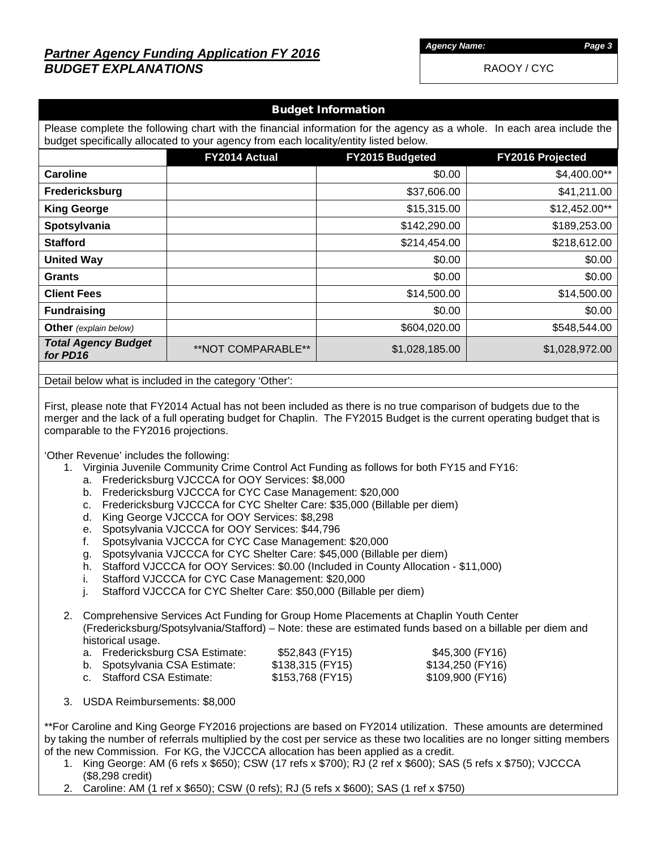# *Partner Agency Funding Application FY 2016 BUDGET EXPLANATIONS*

*Agency Name: Page 3*

RAOOY / CYC

| <b>Budget Information</b>                                                                                                                                                                                      |                    |                                            |                |  |  |  |  |  |  |
|----------------------------------------------------------------------------------------------------------------------------------------------------------------------------------------------------------------|--------------------|--------------------------------------------|----------------|--|--|--|--|--|--|
| Please complete the following chart with the financial information for the agency as a whole. In each area include the<br>budget specifically allocated to your agency from each locality/entity listed below. |                    |                                            |                |  |  |  |  |  |  |
|                                                                                                                                                                                                                | FY2014 Actual      | FY2015 Budgeted<br><b>FY2016 Projected</b> |                |  |  |  |  |  |  |
| Caroline                                                                                                                                                                                                       |                    | \$0.00                                     | \$4,400.00**   |  |  |  |  |  |  |
| Fredericksburg                                                                                                                                                                                                 |                    | \$37,606.00                                | \$41,211.00    |  |  |  |  |  |  |
| <b>King George</b>                                                                                                                                                                                             |                    | \$15,315.00                                | $$12,452.00**$ |  |  |  |  |  |  |
| Spotsylvania                                                                                                                                                                                                   |                    | \$142,290.00                               | \$189,253.00   |  |  |  |  |  |  |
| <b>Stafford</b>                                                                                                                                                                                                |                    | \$214,454.00                               | \$218,612.00   |  |  |  |  |  |  |
| <b>United Way</b>                                                                                                                                                                                              |                    | \$0.00                                     | \$0.00         |  |  |  |  |  |  |
| <b>Grants</b>                                                                                                                                                                                                  |                    | \$0.00                                     | \$0.00         |  |  |  |  |  |  |
| <b>Client Fees</b>                                                                                                                                                                                             |                    | \$14,500.00                                | \$14,500.00    |  |  |  |  |  |  |
| <b>Fundraising</b>                                                                                                                                                                                             |                    | \$0.00                                     | \$0.00         |  |  |  |  |  |  |
| <b>Other</b> (explain below)                                                                                                                                                                                   |                    | \$604,020.00                               | \$548,544.00   |  |  |  |  |  |  |
| <b>Total Agency Budget</b><br>for PD16                                                                                                                                                                         | **NOT COMPARABLE** | \$1,028,185.00                             | \$1,028,972.00 |  |  |  |  |  |  |
|                                                                                                                                                                                                                |                    |                                            |                |  |  |  |  |  |  |

Detail below what is included in the category 'Other':

First, please note that FY2014 Actual has not been included as there is no true comparison of budgets due to the merger and the lack of a full operating budget for Chaplin. The FY2015 Budget is the current operating budget that is comparable to the FY2016 projections.

'Other Revenue' includes the following:

- 1. Virginia Juvenile Community Crime Control Act Funding as follows for both FY15 and FY16:
	- a. Fredericksburg VJCCCA for OOY Services: \$8,000
	- b. Fredericksburg VJCCCA for CYC Case Management: \$20,000
	- c. Fredericksburg VJCCCA for CYC Shelter Care: \$35,000 (Billable per diem)
	- d. King George VJCCCA for OOY Services: \$8,298
	- e. Spotsylvania VJCCCA for OOY Services: \$44,796
	- f. Spotsylvania VJCCCA for CYC Case Management: \$20,000
	- g. Spotsylvania VJCCCA for CYC Shelter Care: \$45,000 (Billable per diem)
	- h. Stafford VJCCCA for OOY Services: \$0.00 (Included in County Allocation \$11,000)
	- i. Stafford VJCCCA for CYC Case Management: \$20,000
	- j. Stafford VJCCCA for CYC Shelter Care: \$50,000 (Billable per diem)

2. Comprehensive Services Act Funding for Group Home Placements at Chaplin Youth Center (Fredericksburg/Spotsylvania/Stafford) – Note: these are estimated funds based on a billable per diem and historical usage.

| a. Fredericksburg CSA Estimate: | \$52,843 (FY15)  | \$45,300 (FY16)  |
|---------------------------------|------------------|------------------|
| b. Spotsylvania CSA Estimate:   | \$138,315 (FY15) | \$134,250 (FY16) |
| c. Stafford CSA Estimate:       | \$153,768 (FY15) | \$109,900 (FY16) |

3. USDA Reimbursements: \$8,000

\*\*For Caroline and King George FY2016 projections are based on FY2014 utilization. These amounts are determined by taking the number of referrals multiplied by the cost per service as these two localities are no longer sitting members of the new Commission. For KG, the VJCCCA allocation has been applied as a credit.

- 1. King George: AM (6 refs x \$650); CSW (17 refs x \$700); RJ (2 ref x \$600); SAS (5 refs x \$750); VJCCCA (\$8,298 credit)
- 2. Caroline: AM (1 ref x \$650); CSW (0 refs); RJ (5 refs x \$600); SAS (1 ref x \$750)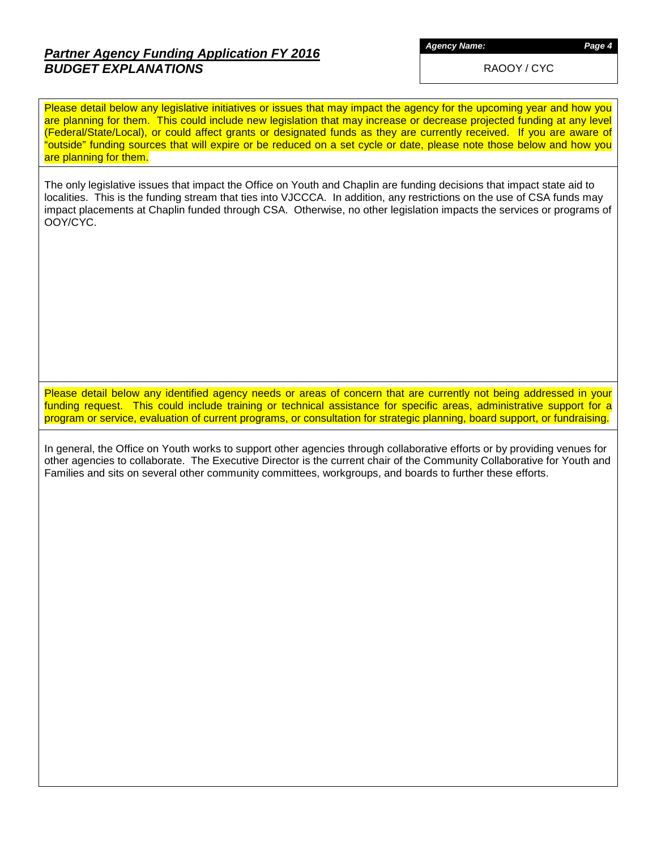# *Partner Agency Funding Application FY 2016 BUDGET EXPLANATIONS*

*Agency Name: Page 4*

RAOOY / CYC

Please detail below any legislative initiatives or issues that may impact the agency for the upcoming year and how you are planning for them. This could include new legislation that may increase or decrease projected funding at any level (Federal/State/Local), or could affect grants or designated funds as they are currently received. If you are aware of "outside" funding sources that will expire or be reduced on a set cycle or date, please note those below and how you are planning for them.

The only legislative issues that impact the Office on Youth and Chaplin are funding decisions that impact state aid to localities. This is the funding stream that ties into VJCCCA. In addition, any restrictions on the use of CSA funds may impact placements at Chaplin funded through CSA. Otherwise, no other legislation impacts the services or programs of OOY/CYC.

Please detail below any identified agency needs or areas of concern that are currently not being addressed in your funding request. This could include training or technical assistance for specific areas, administrative support for a program or service, evaluation of current programs, or consultation for strategic planning, board support, or fundraising.

In general, the Office on Youth works to support other agencies through collaborative efforts or by providing venues for other agencies to collaborate. The Executive Director is the current chair of the Community Collaborative for Youth and Families and sits on several other community committees, workgroups, and boards to further these efforts.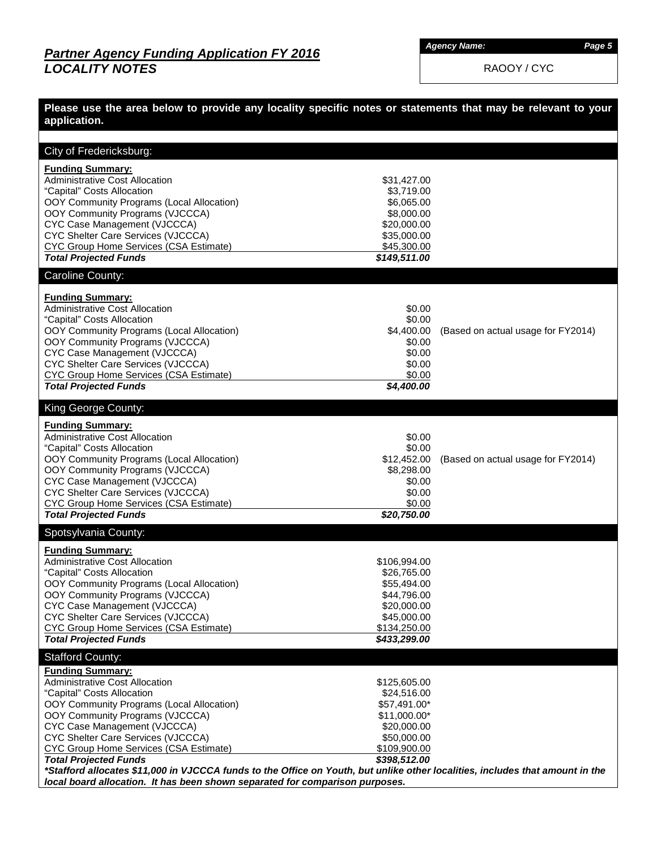*Agency Name: Page 5*

RAOOY / CYC

| Please use the area below to provide any locality specific notes or statements that may be relevant to your<br>application.                                                                                                                                                                                                                                                                                                                                            |                                                                                                                            |                                    |
|------------------------------------------------------------------------------------------------------------------------------------------------------------------------------------------------------------------------------------------------------------------------------------------------------------------------------------------------------------------------------------------------------------------------------------------------------------------------|----------------------------------------------------------------------------------------------------------------------------|------------------------------------|
|                                                                                                                                                                                                                                                                                                                                                                                                                                                                        |                                                                                                                            |                                    |
| City of Fredericksburg:                                                                                                                                                                                                                                                                                                                                                                                                                                                |                                                                                                                            |                                    |
| <b>Funding Summary:</b><br><b>Administrative Cost Allocation</b><br>"Capital" Costs Allocation<br>OOY Community Programs (Local Allocation)<br>OOY Community Programs (VJCCCA)<br>CYC Case Management (VJCCCA)<br>CYC Shelter Care Services (VJCCCA)<br>CYC Group Home Services (CSA Estimate)<br><b>Total Projected Funds</b>                                                                                                                                         | \$31,427.00<br>\$3,719.00<br>\$6,065.00<br>\$8,000.00<br>\$20,000.00<br>\$35,000.00<br>\$45,300.00<br>\$149,511.00         |                                    |
| Caroline County:                                                                                                                                                                                                                                                                                                                                                                                                                                                       |                                                                                                                            |                                    |
| <b>Funding Summary:</b><br><b>Administrative Cost Allocation</b><br>"Capital" Costs Allocation<br>OOY Community Programs (Local Allocation)<br>OOY Community Programs (VJCCCA)<br>CYC Case Management (VJCCCA)<br>CYC Shelter Care Services (VJCCCA)<br><b>CYC Group Home Services (CSA Estimate)</b><br><b>Total Projected Funds</b>                                                                                                                                  | \$0.00<br>\$0.00<br>\$4,400.00<br>\$0.00<br>\$0.00<br>\$0.00<br>\$0.00<br>\$4,400.00                                       | (Based on actual usage for FY2014) |
| King George County:                                                                                                                                                                                                                                                                                                                                                                                                                                                    |                                                                                                                            |                                    |
| <b>Funding Summary:</b><br><b>Administrative Cost Allocation</b><br>"Capital" Costs Allocation<br>OOY Community Programs (Local Allocation)<br>OOY Community Programs (VJCCCA)<br>CYC Case Management (VJCCCA)<br>CYC Shelter Care Services (VJCCCA)<br><b>CYC Group Home Services (CSA Estimate)</b><br><b>Total Projected Funds</b>                                                                                                                                  | \$0.00<br>\$0.00<br>\$12,452.00<br>\$8,298.00<br>\$0.00<br>\$0.00<br>\$0.00<br>\$20,750.00                                 | (Based on actual usage for FY2014) |
| Spotsylvania County:                                                                                                                                                                                                                                                                                                                                                                                                                                                   |                                                                                                                            |                                    |
| <b>Funding Summary:</b><br><b>Administrative Cost Allocation</b><br>"Capital" Costs Allocation<br>OOY Community Programs (Local Allocation)<br>OOY Community Programs (VJCCCA)<br>CYC Case Management (VJCCCA)<br>CYC Shelter Care Services (VJCCCA)<br><b>CYC Group Home Services (CSA Estimate)</b><br><b>Total Projected Funds</b>                                                                                                                                  | \$106,994.00<br>\$26,765.00<br>\$55,494.00<br>\$44,796.00<br>\$20,000.00<br>\$45,000.00<br>\$134,250.00<br>\$433,299.00    |                                    |
| <b>Stafford County:</b>                                                                                                                                                                                                                                                                                                                                                                                                                                                |                                                                                                                            |                                    |
| <b>Funding Summary:</b><br><b>Administrative Cost Allocation</b><br>"Capital" Costs Allocation<br>OOY Community Programs (Local Allocation)<br>OOY Community Programs (VJCCCA)<br>CYC Case Management (VJCCCA)<br>CYC Shelter Care Services (VJCCCA)<br><b>CYC Group Home Services (CSA Estimate)</b><br><b>Total Projected Funds</b><br>*Stafford allocates \$11,000 in VJCCCA funds to the Office on Youth, but unlike other localities, includes that amount in the | \$125,605.00<br>\$24,516.00<br>\$57,491.00*<br>$$11,000.00*$<br>\$20,000.00<br>\$50,000.00<br>\$109,900.00<br>\$398,512.00 |                                    |
| local board allocation. It has been shown separated for comparison purposes.                                                                                                                                                                                                                                                                                                                                                                                           |                                                                                                                            |                                    |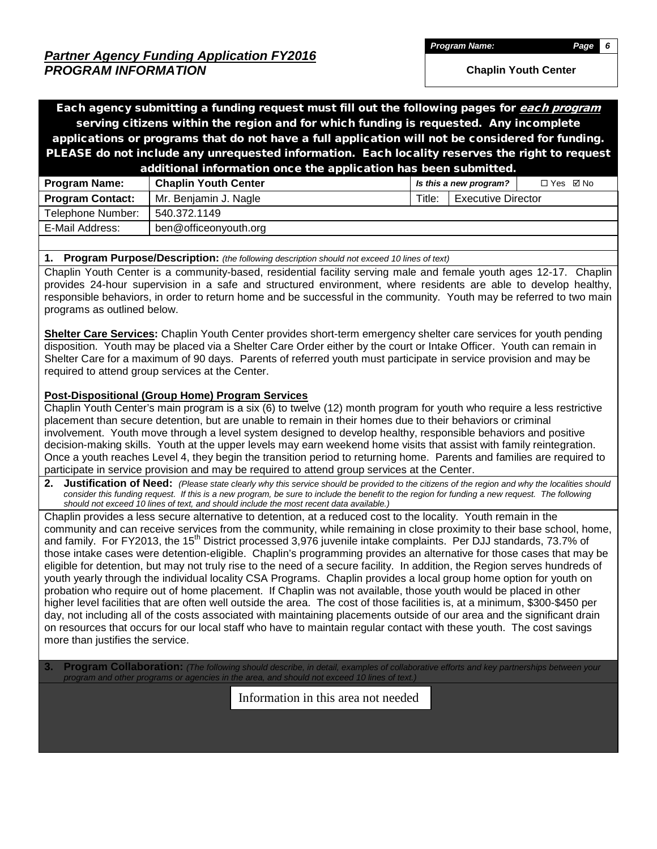*Program Name: Page 6*

**Chaplin Youth Center**

Each agency submitting a funding request must fill out the following pages for *each program* serving citizens within the region and for which funding is requested. Any incomplete applications or programs that do not have a full application will not be considered for funding. PLEASE do not include any unrequested information. Each locality reserves the right to request additional information once the application has been submitted.

|                         | .                           |                        |                           |            |  |
|-------------------------|-----------------------------|------------------------|---------------------------|------------|--|
| <b>Program Name:</b>    | <b>Chaplin Youth Center</b> | Is this a new program? |                           | □ Yes ☑ No |  |
| <b>Program Contact:</b> | Mr. Benjamin J. Nagle       | Title:                 | <b>Executive Director</b> |            |  |
| Telephone Number:       | 540.372.1149                |                        |                           |            |  |
| E-Mail Address:         | ben@officeonyouth.org       |                        |                           |            |  |
|                         |                             |                        |                           |            |  |

#### **1. Program Purpose/Description:** *(the following description should not exceed 10 lines of text)*

Chaplin Youth Center is a community-based, residential facility serving male and female youth ages 12-17. Chaplin provides 24-hour supervision in a safe and structured environment, where residents are able to develop healthy, responsible behaviors, in order to return home and be successful in the community. Youth may be referred to two main programs as outlined below.

**Shelter Care Services:** Chaplin Youth Center provides short-term emergency shelter care services for youth pending disposition. Youth may be placed via a Shelter Care Order either by the court or Intake Officer. Youth can remain in Shelter Care for a maximum of 90 days. Parents of referred youth must participate in service provision and may be required to attend group services at the Center.

### **Post-Dispositional (Group Home) Program Services**

Chaplin Youth Center's main program is a six (6) to twelve (12) month program for youth who require a less restrictive placement than secure detention, but are unable to remain in their homes due to their behaviors or criminal involvement. Youth move through a level system designed to develop healthy, responsible behaviors and positive decision-making skills. Youth at the upper levels may earn weekend home visits that assist with family reintegration. Once a youth reaches Level 4, they begin the transition period to returning home. Parents and families are required to participate in service provision and may be required to attend group services at the Center.

**2. Justification of Need:** *(Please state clearly why this service should be provided to the citizens of the region and why the localities should consider this funding request. If this is a new program, be sure to include the benefit to the region for funding a new request. The following should not exceed 10 lines of text, and should include the most recent data available.)*

Chaplin provides a less secure alternative to detention, at a reduced cost to the locality. Youth remain in the community and can receive services from the community, while remaining in close proximity to their base school, home, and family. For FY2013, the 15<sup>th</sup> District processed 3,976 juvenile intake complaints. Per DJJ standards, 73.7% of those intake cases were detention-eligible. Chaplin's programming provides an alternative for those cases that may be eligible for detention, but may not truly rise to the need of a secure facility. In addition, the Region serves hundreds of youth yearly through the individual locality CSA Programs. Chaplin provides a local group home option for youth on probation who require out of home placement. If Chaplin was not available, those youth would be placed in other higher level facilities that are often well outside the area. The cost of those facilities is, at a minimum, \$300-\$450 per day, not including all of the costs associated with maintaining placements outside of our area and the significant drain on resources that occurs for our local staff who have to maintain regular contact with these youth. The cost savings more than justifies the service.

**3. Program Collaboration:** *(The following should describe, in detail, examples of collaborative efforts and key partnerships between your program and other programs or agencies in the area, and should not exceed 10 lines of text.)*

Information in this area not needed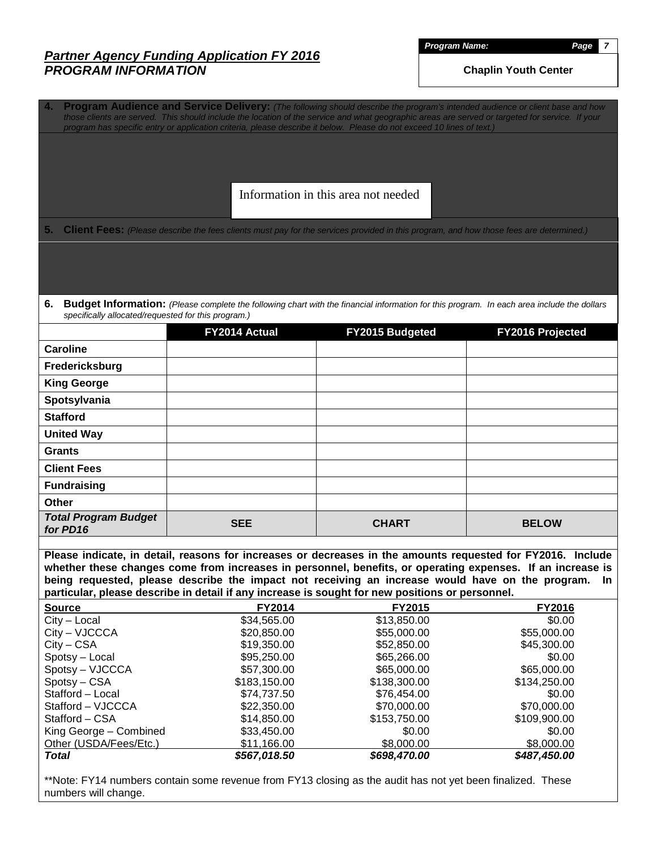*Program Name: Page 7*

**Chaplin Youth Center**

**4. Program Audience and Service Delivery:** *(The following should describe the program's intended audience or client base and how those clients are served. This should include the location of the service and what geographic areas are served or targeted for service. If your program has specific entry or application criteria, please describe it below. Please do not exceed 10 lines of text.)* **5.** Client Fees: (Please describe the fees clients must pay for the services provided in this program, and how those fees are determined.) **6. Budget Information:** *(Please complete the following chart with the financial information for this program. In each area include the dollars specifically allocated/requested for this program.)* **FY2014 Actual FY2015 Budgeted FY2016 Projected Caroline Fredericksburg King George Spotsylvania Stafford United Way Grants Client Fees Fundraising Other** *Total Program Budget for PD16* **<b>SEE CHART BELOW Please indicate, in detail, reasons for increases or decreases in the amounts requested for FY2016. Include whether these changes come from increases in personnel, benefits, or operating expenses. If an increase is being requested, please describe the impact not receiving an increase would have on the program. In particular, please describe in detail if any increase is sought for new positions or personnel. Source FY2014 FY2015 FY2016** City – Local \$34,565.00 \$34,565.00 \$13,850.00 \$0.00 Information in this area not needed

| <b>Total</b>           | \$567,018.50      | \$698,470.00 | \$487,450.00 |
|------------------------|-------------------|--------------|--------------|
| Other (USDA/Fees/Etc.) | \$11.166.00       | \$8,000,00   | \$8,000,00   |
| King George - Combined | \$33,450.00       | \$0.00       | \$0.00       |
| Stafford – CSA         | \$14,850.00       | \$153,750.00 | \$109,900.00 |
| Stafford – VJCCCA      | \$22,350.00       | \$70,000.00  | \$70,000.00  |
| Stafford - Local       | \$74.737.50       | \$76,454,00  | \$0.00       |
| Spotsy – CSA           | \$183,150.00      | \$138,300.00 | \$134,250.00 |
| Spotsy – VJCCCA        | \$57,300.00       | \$65,000,00  | \$65,000.00  |
| Spotsy - Local         | \$95,250.00       | \$65,266.00  | \$0.00       |
| $City - CSA$           | \$19,350.00       | \$52,850.00  | \$45,300.00  |
| City – VJCCCA          | \$20,850.00       | \$55,000.00  | \$55,000.00  |
| $UIV = LUU$            | <b>JU.COC.PCG</b> | 0.00000      | JU.UU        |

\*\*Note: FY14 numbers contain some revenue from FY13 closing as the audit has not yet been finalized. These numbers will change.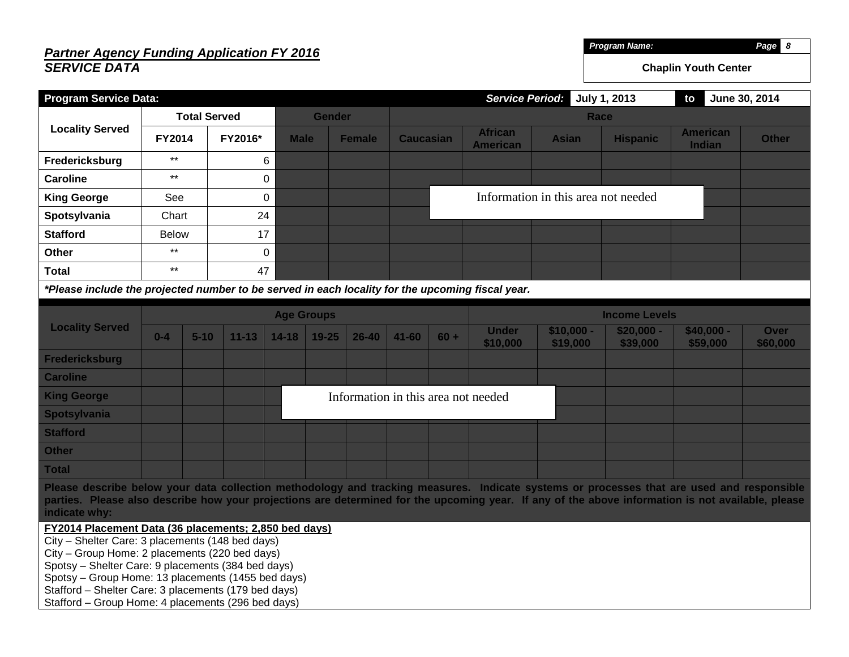# *Partner Agency Funding Application FY 2016 SERVICE DATA*

*Program Name: Page 8*

**Chaplin Youth Center**

| <b>Program Service Data:</b>                                                                                                                                                                                                                                                                                                                                                          |               |                     |             |                   |               |           |                                     |  | <b>Service Period:</b>   |                                     | July 1, 2013            | to                               | June 30, 2014           |
|---------------------------------------------------------------------------------------------------------------------------------------------------------------------------------------------------------------------------------------------------------------------------------------------------------------------------------------------------------------------------------------|---------------|---------------------|-------------|-------------------|---------------|-----------|-------------------------------------|--|--------------------------|-------------------------------------|-------------------------|----------------------------------|-------------------------|
|                                                                                                                                                                                                                                                                                                                                                                                       |               | <b>Total Served</b> |             |                   | <b>Gender</b> |           |                                     |  |                          | Race                                |                         |                                  |                         |
| <b>Locality Served</b>                                                                                                                                                                                                                                                                                                                                                                | <b>FY2014</b> |                     | FY2016*     | <b>Male</b>       | <b>Female</b> |           | <b>Caucasian</b><br><b>American</b> |  | <b>African</b>           | <b>Asian</b>                        | <b>Hispanic</b>         | <b>American</b><br><b>Indian</b> | <b>Other</b>            |
| Fredericksburg                                                                                                                                                                                                                                                                                                                                                                        | $***$         |                     | 6           |                   |               |           |                                     |  |                          |                                     |                         |                                  |                         |
| <b>Caroline</b>                                                                                                                                                                                                                                                                                                                                                                       | $***$         |                     | $\mathbf 0$ |                   |               |           |                                     |  |                          |                                     |                         |                                  |                         |
| <b>King George</b>                                                                                                                                                                                                                                                                                                                                                                    | See           |                     | $\mathbf 0$ |                   |               |           |                                     |  |                          | Information in this area not needed |                         |                                  |                         |
| Spotsylvania                                                                                                                                                                                                                                                                                                                                                                          | Chart         |                     | 24          |                   |               |           |                                     |  |                          |                                     |                         |                                  |                         |
| <b>Stafford</b>                                                                                                                                                                                                                                                                                                                                                                       | <b>Below</b>  |                     | 17          |                   |               |           |                                     |  |                          |                                     |                         |                                  |                         |
| <b>Other</b>                                                                                                                                                                                                                                                                                                                                                                          | $***$         |                     | $\mathbf 0$ |                   |               |           |                                     |  |                          |                                     |                         |                                  |                         |
| <b>Total</b>                                                                                                                                                                                                                                                                                                                                                                          | $\star\star$  |                     | 47          |                   |               |           |                                     |  |                          |                                     |                         |                                  |                         |
| *Please include the projected number to be served in each locality for the upcoming fiscal year.                                                                                                                                                                                                                                                                                      |               |                     |             |                   |               |           |                                     |  |                          |                                     |                         |                                  |                         |
|                                                                                                                                                                                                                                                                                                                                                                                       |               |                     |             | <b>Age Groups</b> |               |           |                                     |  |                          |                                     | <b>Income Levels</b>    |                                  |                         |
| <b>Locality Served</b>                                                                                                                                                                                                                                                                                                                                                                | $0-4$         | $5 - 10$            | $11 - 13$   | $14 - 18$         | $19 - 25$     | $26 - 40$ | $41 - 60$<br>$60 +$                 |  | <b>Under</b><br>\$10,000 | $$10,000 -$<br>\$19,000             | $$20,000 -$<br>\$39,000 | $$40,000 -$<br>\$59,000          | <b>Over</b><br>\$60,000 |
| <b>Fredericksburg</b>                                                                                                                                                                                                                                                                                                                                                                 |               |                     |             |                   |               |           |                                     |  |                          |                                     |                         |                                  |                         |
| <b>Caroline</b>                                                                                                                                                                                                                                                                                                                                                                       |               |                     |             |                   |               |           |                                     |  |                          |                                     |                         |                                  |                         |
| <b>King George</b>                                                                                                                                                                                                                                                                                                                                                                    |               |                     |             |                   |               |           | Information in this area not needed |  |                          |                                     |                         |                                  |                         |
| Spotsylvania                                                                                                                                                                                                                                                                                                                                                                          |               |                     |             |                   |               |           |                                     |  |                          |                                     |                         |                                  |                         |
| <b>Stafford</b>                                                                                                                                                                                                                                                                                                                                                                       |               |                     |             |                   |               |           |                                     |  |                          |                                     |                         |                                  |                         |
| <b>Other</b>                                                                                                                                                                                                                                                                                                                                                                          |               |                     |             |                   |               |           |                                     |  |                          |                                     |                         |                                  |                         |
| <b>Total</b>                                                                                                                                                                                                                                                                                                                                                                          |               |                     |             |                   |               |           |                                     |  |                          |                                     |                         |                                  |                         |
| Please describe below your data collection methodology and tracking measures. Indicate systems or processes that are used and responsible<br>parties. Please also describe how your projections are determined for the upcoming year. If any of the above information is not available, please<br>indicate why:                                                                       |               |                     |             |                   |               |           |                                     |  |                          |                                     |                         |                                  |                         |
| FY2014 Placement Data (36 placements; 2,850 bed days)<br>City - Shelter Care: 3 placements (148 bed days)<br>City - Group Home: 2 placements (220 bed days)<br>Spotsy - Shelter Care: 9 placements (384 bed days)<br>Spotsy - Group Home: 13 placements (1455 bed days)<br>Stafford - Shelter Care: 3 placements (179 bed days)<br>Stafford - Group Home: 4 placements (296 bed days) |               |                     |             |                   |               |           |                                     |  |                          |                                     |                         |                                  |                         |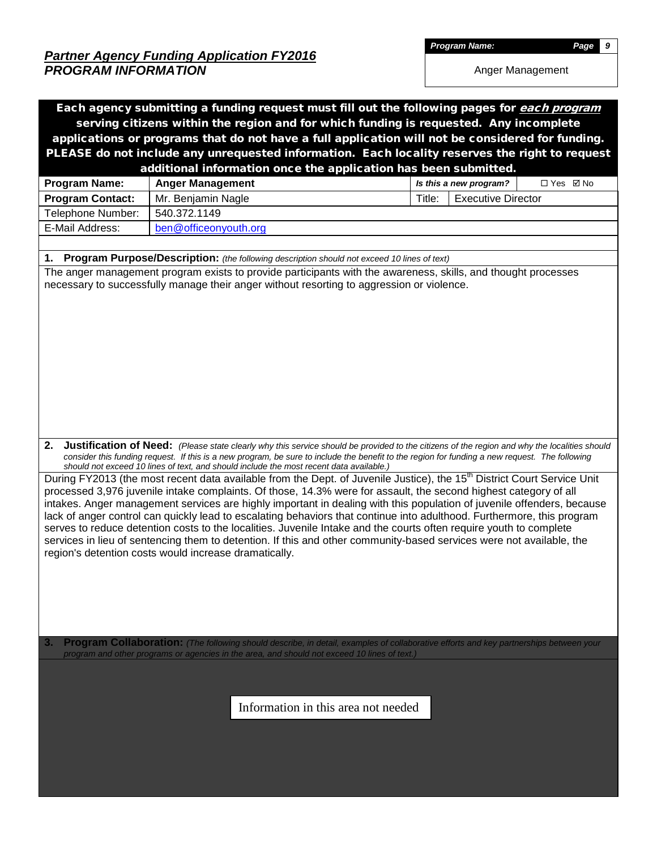*Program Name: Page 9*

Anger Management

| Each agency submitting a funding request must fill out the following pages for each program    |                                                                                                                                                                                                                                                  |        |                           |            |  |  |  |  |  |
|------------------------------------------------------------------------------------------------|--------------------------------------------------------------------------------------------------------------------------------------------------------------------------------------------------------------------------------------------------|--------|---------------------------|------------|--|--|--|--|--|
| serving citizens within the region and for which funding is requested. Any incomplete          |                                                                                                                                                                                                                                                  |        |                           |            |  |  |  |  |  |
|                                                                                                | applications or programs that do not have a full application will not be considered for funding.                                                                                                                                                 |        |                           |            |  |  |  |  |  |
| PLEASE do not include any unrequested information. Each locality reserves the right to request |                                                                                                                                                                                                                                                  |        |                           |            |  |  |  |  |  |
| additional information once the application has been submitted.                                |                                                                                                                                                                                                                                                  |        |                           |            |  |  |  |  |  |
| <b>Program Name:</b>                                                                           | <b>Anger Management</b>                                                                                                                                                                                                                          |        | Is this a new program?    | □ Yes ☑ No |  |  |  |  |  |
| <b>Program Contact:</b>                                                                        | Mr. Benjamin Nagle                                                                                                                                                                                                                               | Title: | <b>Executive Director</b> |            |  |  |  |  |  |
| Telephone Number:                                                                              | 540.372.1149                                                                                                                                                                                                                                     |        |                           |            |  |  |  |  |  |
| E-Mail Address:                                                                                | ben@officeonyouth.org                                                                                                                                                                                                                            |        |                           |            |  |  |  |  |  |
|                                                                                                |                                                                                                                                                                                                                                                  |        |                           |            |  |  |  |  |  |
|                                                                                                | 1. Program Purpose/Description: (the following description should not exceed 10 lines of text)                                                                                                                                                   |        |                           |            |  |  |  |  |  |
|                                                                                                | The anger management program exists to provide participants with the awareness, skills, and thought processes                                                                                                                                    |        |                           |            |  |  |  |  |  |
|                                                                                                | necessary to successfully manage their anger without resorting to aggression or violence.                                                                                                                                                        |        |                           |            |  |  |  |  |  |
|                                                                                                |                                                                                                                                                                                                                                                  |        |                           |            |  |  |  |  |  |
|                                                                                                |                                                                                                                                                                                                                                                  |        |                           |            |  |  |  |  |  |
|                                                                                                |                                                                                                                                                                                                                                                  |        |                           |            |  |  |  |  |  |
|                                                                                                |                                                                                                                                                                                                                                                  |        |                           |            |  |  |  |  |  |
|                                                                                                |                                                                                                                                                                                                                                                  |        |                           |            |  |  |  |  |  |
|                                                                                                |                                                                                                                                                                                                                                                  |        |                           |            |  |  |  |  |  |
|                                                                                                |                                                                                                                                                                                                                                                  |        |                           |            |  |  |  |  |  |
|                                                                                                |                                                                                                                                                                                                                                                  |        |                           |            |  |  |  |  |  |
|                                                                                                |                                                                                                                                                                                                                                                  |        |                           |            |  |  |  |  |  |
|                                                                                                |                                                                                                                                                                                                                                                  |        |                           |            |  |  |  |  |  |
|                                                                                                |                                                                                                                                                                                                                                                  |        |                           |            |  |  |  |  |  |
|                                                                                                | 2. Justification of Need: (Please state clearly why this service should be provided to the citizens of the region and why the localities should                                                                                                  |        |                           |            |  |  |  |  |  |
|                                                                                                | consider this funding request. If this is a new program, be sure to include the benefit to the region for funding a new request. The following                                                                                                   |        |                           |            |  |  |  |  |  |
|                                                                                                | should not exceed 10 lines of text, and should include the most recent data available.)                                                                                                                                                          |        |                           |            |  |  |  |  |  |
|                                                                                                | During FY2013 (the most recent data available from the Dept. of Juvenile Justice), the 15 <sup>th</sup> District Court Service Unit                                                                                                              |        |                           |            |  |  |  |  |  |
|                                                                                                | processed 3,976 juvenile intake complaints. Of those, 14.3% were for assault, the second highest category of all                                                                                                                                 |        |                           |            |  |  |  |  |  |
|                                                                                                | intakes. Anger management services are highly important in dealing with this population of juvenile offenders, because<br>lack of anger control can quickly lead to escalating behaviors that continue into adulthood. Furthermore, this program |        |                           |            |  |  |  |  |  |
|                                                                                                | serves to reduce detention costs to the localities. Juvenile Intake and the courts often require youth to complete                                                                                                                               |        |                           |            |  |  |  |  |  |
|                                                                                                | services in lieu of sentencing them to detention. If this and other community-based services were not available, the                                                                                                                             |        |                           |            |  |  |  |  |  |
|                                                                                                | region's detention costs would increase dramatically.                                                                                                                                                                                            |        |                           |            |  |  |  |  |  |
|                                                                                                |                                                                                                                                                                                                                                                  |        |                           |            |  |  |  |  |  |
|                                                                                                |                                                                                                                                                                                                                                                  |        |                           |            |  |  |  |  |  |
|                                                                                                |                                                                                                                                                                                                                                                  |        |                           |            |  |  |  |  |  |
|                                                                                                |                                                                                                                                                                                                                                                  |        |                           |            |  |  |  |  |  |
|                                                                                                |                                                                                                                                                                                                                                                  |        |                           |            |  |  |  |  |  |
|                                                                                                |                                                                                                                                                                                                                                                  |        |                           |            |  |  |  |  |  |
| 3.                                                                                             | Program Collaboration: (The following should describe, in detail, examples of collaborative efforts and key partnerships between your<br>program and other programs or agencies in the area, and should not exceed 10 lines of text.)            |        |                           |            |  |  |  |  |  |
|                                                                                                |                                                                                                                                                                                                                                                  |        |                           |            |  |  |  |  |  |
|                                                                                                |                                                                                                                                                                                                                                                  |        |                           |            |  |  |  |  |  |
|                                                                                                |                                                                                                                                                                                                                                                  |        |                           |            |  |  |  |  |  |
| Information in this area not needed                                                            |                                                                                                                                                                                                                                                  |        |                           |            |  |  |  |  |  |
|                                                                                                |                                                                                                                                                                                                                                                  |        |                           |            |  |  |  |  |  |
|                                                                                                |                                                                                                                                                                                                                                                  |        |                           |            |  |  |  |  |  |
|                                                                                                |                                                                                                                                                                                                                                                  |        |                           |            |  |  |  |  |  |
|                                                                                                |                                                                                                                                                                                                                                                  |        |                           |            |  |  |  |  |  |
|                                                                                                |                                                                                                                                                                                                                                                  |        |                           |            |  |  |  |  |  |
|                                                                                                |                                                                                                                                                                                                                                                  |        |                           |            |  |  |  |  |  |
|                                                                                                |                                                                                                                                                                                                                                                  |        |                           |            |  |  |  |  |  |
|                                                                                                |                                                                                                                                                                                                                                                  |        |                           |            |  |  |  |  |  |
|                                                                                                |                                                                                                                                                                                                                                                  |        |                           |            |  |  |  |  |  |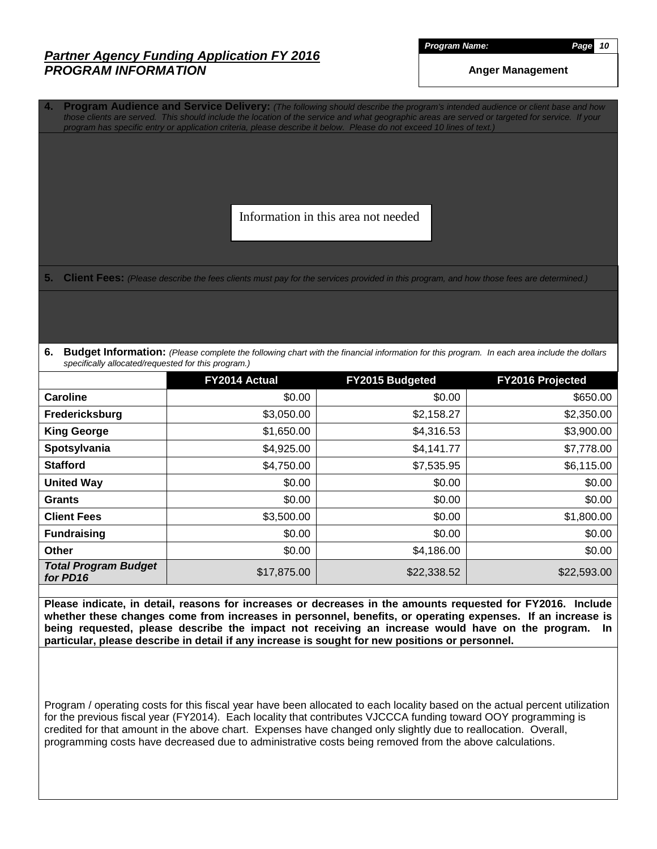*Program Name: Page 10*

**Anger Management**

**4. Program Audience and Service Delivery:** *(The following should describe the program's intended audience or client base and how those clients are served. This should include the location of the service and what geographic areas are served or targeted for service. If your program has specific entry or application criteria, please describe it below. Please do not exceed 10 lines of text.)*

Information in this area not needed

**5. Client Fees:** *(Please describe the fees clients must pay for the services provided in this program, and how those fees are determined.)*

**6. Budget Information:** *(Please complete the following chart with the financial information for this program. In each area include the dollars specifically allocated/requested for this program.)*

|                                         | FY2014 Actual | <b>FY2015 Budgeted</b> | <b>FY2016 Projected</b> |
|-----------------------------------------|---------------|------------------------|-------------------------|
| <b>Caroline</b>                         | \$0.00        | \$0.00                 | \$650.00                |
| Fredericksburg                          | \$3,050.00    | \$2,158.27             | \$2,350.00              |
| <b>King George</b>                      | \$1,650.00    | \$4,316.53             | \$3,900.00              |
| Spotsylvania                            | \$4,925.00    | \$4,141.77             | \$7,778.00              |
| <b>Stafford</b>                         | \$4,750.00    | \$7,535.95             | \$6,115.00              |
| <b>United Way</b>                       | \$0.00        | \$0.00                 | \$0.00                  |
| <b>Grants</b>                           | \$0.00        | \$0.00                 | \$0.00                  |
| <b>Client Fees</b>                      | \$3,500.00    | \$0.00                 | \$1,800.00              |
| <b>Fundraising</b>                      | \$0.00        | \$0.00                 | \$0.00                  |
| <b>Other</b>                            | \$0.00        | \$4,186.00             | \$0.00                  |
| <b>Total Program Budget</b><br>for PD16 | \$17,875.00   | \$22,338.52            | \$22,593.00             |

**Please indicate, in detail, reasons for increases or decreases in the amounts requested for FY2016. Include whether these changes come from increases in personnel, benefits, or operating expenses. If an increase is being requested, please describe the impact not receiving an increase would have on the program. In particular, please describe in detail if any increase is sought for new positions or personnel.**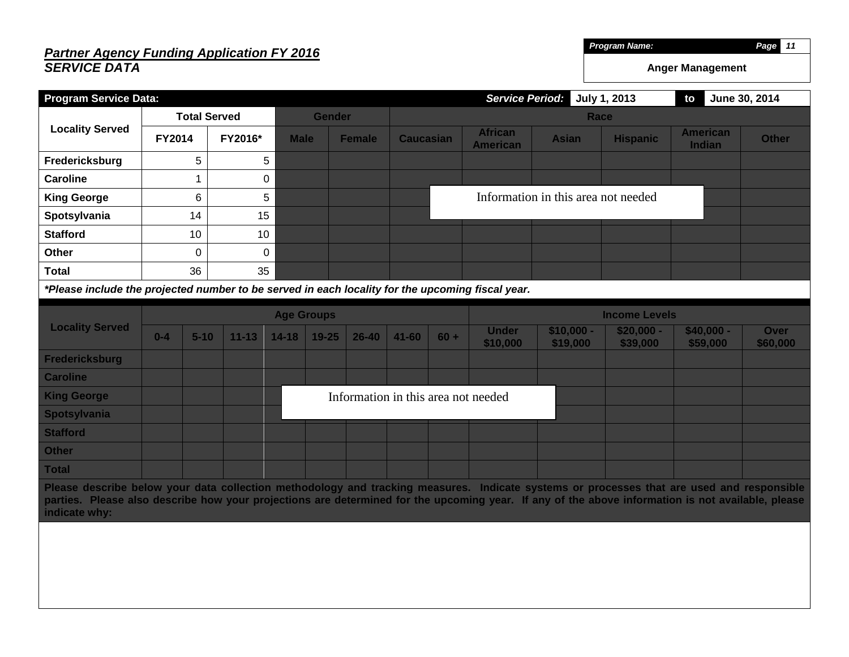### *Partner Agency Funding Application FY 2016 SERVICE DATA* **Program Service Data:** *Service Period:* **July 1, 2013 to June 30, 2014 Locality Served Total Served Gender Race FY2014 FY2016\* Male Female Caucasian African American Asian Hispanic American Fredericksburg** 1 5 5 **Caroline** 1 1 0 **King George**  $\begin{array}{|c|c|c|} \hline \textbf{6} & \textbf{5} & \textbf{5} \end{array}$ **Spotsylvania**  $\vert$  14 15 **Stafford** | 10 10 **Other** 0 0 0 **Total** 1 36 35 *\*Please include the projected number to be served in each locality for the upcoming fiscal year.* **Locality Served Age Groups Income Levels 0-4 5-10 11-13 14-18 19-25 26-40 41-60 60 + Under \$10,000 \$10,000 - \$19,000 \$20,000 - \$39,000 Fredericksburg** Information in this area not needed

| <b>Caroline</b>    |  |  |  |  |                                     |  |  |  |
|--------------------|--|--|--|--|-------------------------------------|--|--|--|
| <b>King George</b> |  |  |  |  | Information in this area not needed |  |  |  |
| Spotsylvania       |  |  |  |  |                                     |  |  |  |
| <b>Stafford</b>    |  |  |  |  |                                     |  |  |  |
| <b>Other</b>       |  |  |  |  |                                     |  |  |  |
| <b>Total</b>       |  |  |  |  |                                     |  |  |  |

**Please describe below your data collection methodology and tracking measures. Indicate systems or processes that are used and responsible parties. Please also describe how your projections are determined for the upcoming year. If any of the above information is not available, please indicate why:**

*Program Name: Page 11*

**Indian Other**

**Anger Management**

**\$40,000 - \$59,000**

**Over \$60,000**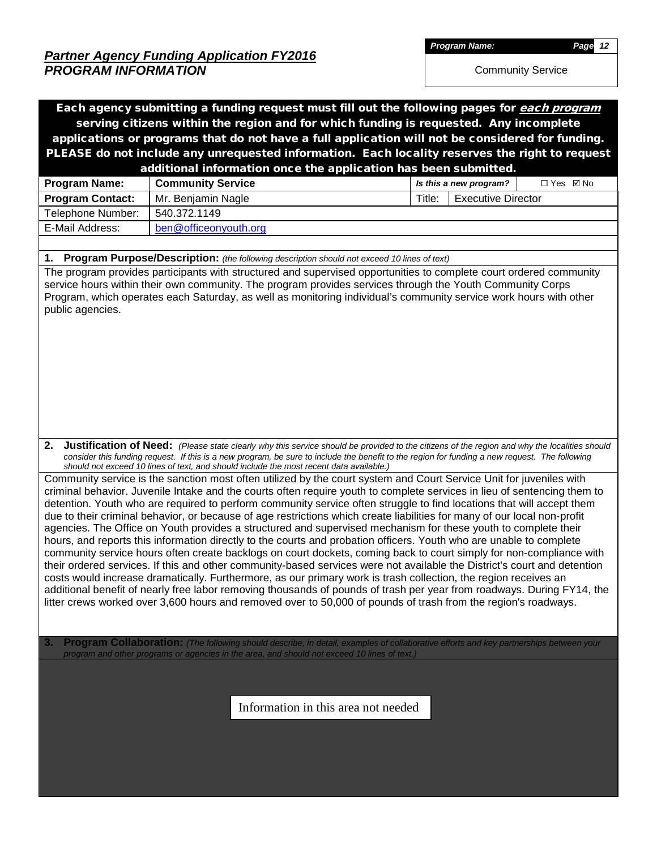*Program Name: Page 12*

Community Service

|                                                                                       | Each agency submitting a funding request must fill out the following pages for each program                                                                                                                                                                                                                                                                                                                                                                                                                                                                                                                                                                                                                                                                                                                                                                                                                                                                                                                                                                                                                                                                                                                                                                                                                                                                     |                                      |  |  |  |  |  |  |  |  |
|---------------------------------------------------------------------------------------|-----------------------------------------------------------------------------------------------------------------------------------------------------------------------------------------------------------------------------------------------------------------------------------------------------------------------------------------------------------------------------------------------------------------------------------------------------------------------------------------------------------------------------------------------------------------------------------------------------------------------------------------------------------------------------------------------------------------------------------------------------------------------------------------------------------------------------------------------------------------------------------------------------------------------------------------------------------------------------------------------------------------------------------------------------------------------------------------------------------------------------------------------------------------------------------------------------------------------------------------------------------------------------------------------------------------------------------------------------------------|--------------------------------------|--|--|--|--|--|--|--|--|
| serving citizens within the region and for which funding is requested. Any incomplete |                                                                                                                                                                                                                                                                                                                                                                                                                                                                                                                                                                                                                                                                                                                                                                                                                                                                                                                                                                                                                                                                                                                                                                                                                                                                                                                                                                 |                                      |  |  |  |  |  |  |  |  |
|                                                                                       | applications or programs that do not have a full application will not be considered for funding.                                                                                                                                                                                                                                                                                                                                                                                                                                                                                                                                                                                                                                                                                                                                                                                                                                                                                                                                                                                                                                                                                                                                                                                                                                                                |                                      |  |  |  |  |  |  |  |  |
|                                                                                       | PLEASE do not include any unrequested information. Each locality reserves the right to request                                                                                                                                                                                                                                                                                                                                                                                                                                                                                                                                                                                                                                                                                                                                                                                                                                                                                                                                                                                                                                                                                                                                                                                                                                                                  |                                      |  |  |  |  |  |  |  |  |
|                                                                                       | additional information once the application has been submitted.                                                                                                                                                                                                                                                                                                                                                                                                                                                                                                                                                                                                                                                                                                                                                                                                                                                                                                                                                                                                                                                                                                                                                                                                                                                                                                 |                                      |  |  |  |  |  |  |  |  |
| <b>Program Name:</b>                                                                  | <b>Community Service</b>                                                                                                                                                                                                                                                                                                                                                                                                                                                                                                                                                                                                                                                                                                                                                                                                                                                                                                                                                                                                                                                                                                                                                                                                                                                                                                                                        | Is this a new program?<br>□ Yes ☑ No |  |  |  |  |  |  |  |  |
| <b>Program Contact:</b>                                                               | Mr. Benjamin Nagle                                                                                                                                                                                                                                                                                                                                                                                                                                                                                                                                                                                                                                                                                                                                                                                                                                                                                                                                                                                                                                                                                                                                                                                                                                                                                                                                              | <b>Executive Director</b><br>Title:  |  |  |  |  |  |  |  |  |
| Telephone Number:                                                                     | 540.372.1149                                                                                                                                                                                                                                                                                                                                                                                                                                                                                                                                                                                                                                                                                                                                                                                                                                                                                                                                                                                                                                                                                                                                                                                                                                                                                                                                                    |                                      |  |  |  |  |  |  |  |  |
| E-Mail Address:                                                                       | ben@officeonyouth.org                                                                                                                                                                                                                                                                                                                                                                                                                                                                                                                                                                                                                                                                                                                                                                                                                                                                                                                                                                                                                                                                                                                                                                                                                                                                                                                                           |                                      |  |  |  |  |  |  |  |  |
|                                                                                       |                                                                                                                                                                                                                                                                                                                                                                                                                                                                                                                                                                                                                                                                                                                                                                                                                                                                                                                                                                                                                                                                                                                                                                                                                                                                                                                                                                 |                                      |  |  |  |  |  |  |  |  |
|                                                                                       | 1. Program Purpose/Description: (the following description should not exceed 10 lines of text)<br>The program provides participants with structured and supervised opportunities to complete court ordered community                                                                                                                                                                                                                                                                                                                                                                                                                                                                                                                                                                                                                                                                                                                                                                                                                                                                                                                                                                                                                                                                                                                                            |                                      |  |  |  |  |  |  |  |  |
| public agencies.                                                                      | service hours within their own community. The program provides services through the Youth Community Corps<br>Program, which operates each Saturday, as well as monitoring individual's community service work hours with other                                                                                                                                                                                                                                                                                                                                                                                                                                                                                                                                                                                                                                                                                                                                                                                                                                                                                                                                                                                                                                                                                                                                  |                                      |  |  |  |  |  |  |  |  |
| 2.                                                                                    | Justification of Need: (Please state clearly why this service should be provided to the citizens of the region and why the localities should<br>consider this funding request. If this is a new program, be sure to include the benefit to the region for funding a new request. The following<br>should not exceed 10 lines of text, and should include the most recent data available.)                                                                                                                                                                                                                                                                                                                                                                                                                                                                                                                                                                                                                                                                                                                                                                                                                                                                                                                                                                       |                                      |  |  |  |  |  |  |  |  |
|                                                                                       | Community service is the sanction most often utilized by the court system and Court Service Unit for juveniles with<br>criminal behavior. Juvenile Intake and the courts often require youth to complete services in lieu of sentencing them to<br>detention. Youth who are required to perform community service often struggle to find locations that will accept them<br>due to their criminal behavior, or because of age restrictions which create liabilities for many of our local non-profit<br>agencies. The Office on Youth provides a structured and supervised mechanism for these youth to complete their<br>hours, and reports this information directly to the courts and probation officers. Youth who are unable to complete<br>community service hours often create backlogs on court dockets, coming back to court simply for non-compliance with<br>their ordered services. If this and other community-based services were not available the District's court and detention<br>costs would increase dramatically. Furthermore, as our primary work is trash collection, the region receives an<br>additional benefit of nearly free labor removing thousands of pounds of trash per year from roadways. During FY14, the<br>litter crews worked over 3,600 hours and removed over to 50,000 of pounds of trash from the region's roadways. |                                      |  |  |  |  |  |  |  |  |
| 3.                                                                                    | Program Collaboration: (The following should describe, in detail, examples of collaborative efforts and key partnerships between your<br>program and other programs or agencies in the area, and should not exceed 10 lines of text.)<br>Information in this area not needed                                                                                                                                                                                                                                                                                                                                                                                                                                                                                                                                                                                                                                                                                                                                                                                                                                                                                                                                                                                                                                                                                    |                                      |  |  |  |  |  |  |  |  |
|                                                                                       |                                                                                                                                                                                                                                                                                                                                                                                                                                                                                                                                                                                                                                                                                                                                                                                                                                                                                                                                                                                                                                                                                                                                                                                                                                                                                                                                                                 |                                      |  |  |  |  |  |  |  |  |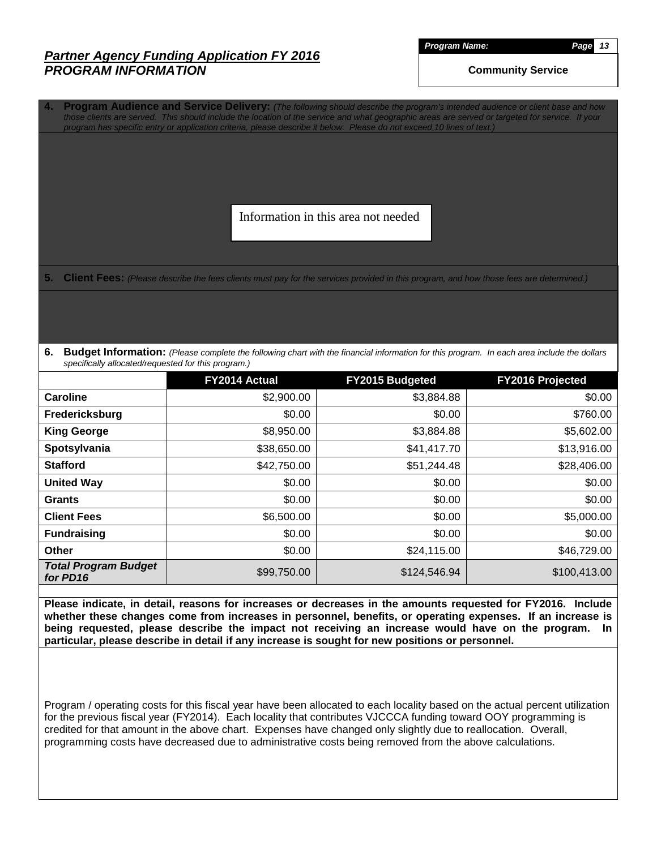*Program Name: Page 13*

**Community Service**

**4. Program Audience and Service Delivery:** *(The following should describe the program's intended audience or client base and how those clients are served. This should include the location of the service and what geographic areas are served or targeted for service. If your program has specific entry or application criteria, please describe it below. Please do not exceed 10 lines of text.)*

Information in this area not needed

**5. Client Fees:** *(Please describe the fees clients must pay for the services provided in this program, and how those fees are determined.)*

**6. Budget Information:** *(Please complete the following chart with the financial information for this program. In each area include the dollars specifically allocated/requested for this program.)*

|                                         | FY2014 Actual | <b>FY2015 Budgeted</b> | <b>FY2016 Projected</b> |
|-----------------------------------------|---------------|------------------------|-------------------------|
| <b>Caroline</b>                         | \$2,900.00    | \$3,884.88             | \$0.00                  |
| Fredericksburg                          | \$0.00        | \$0.00                 | \$760.00                |
| <b>King George</b>                      | \$8,950.00    | \$3,884.88             | \$5,602.00              |
| Spotsylvania                            | \$38,650.00   | \$41,417.70            | \$13,916.00             |
| <b>Stafford</b>                         | \$42,750.00   | \$51,244.48            | \$28,406.00             |
| <b>United Way</b>                       | \$0.00        | \$0.00                 | \$0.00                  |
| <b>Grants</b>                           | \$0.00        | \$0.00                 | \$0.00                  |
| <b>Client Fees</b>                      | \$6,500.00    | \$0.00                 | \$5,000.00              |
| <b>Fundraising</b>                      | \$0.00        | \$0.00                 | \$0.00                  |
| <b>Other</b>                            | \$0.00        | \$24,115.00            | \$46,729.00             |
| <b>Total Program Budget</b><br>for PD16 | \$99,750.00   | \$124,546.94           | \$100,413.00            |

**Please indicate, in detail, reasons for increases or decreases in the amounts requested for FY2016. Include whether these changes come from increases in personnel, benefits, or operating expenses. If an increase is being requested, please describe the impact not receiving an increase would have on the program. In particular, please describe in detail if any increase is sought for new positions or personnel.**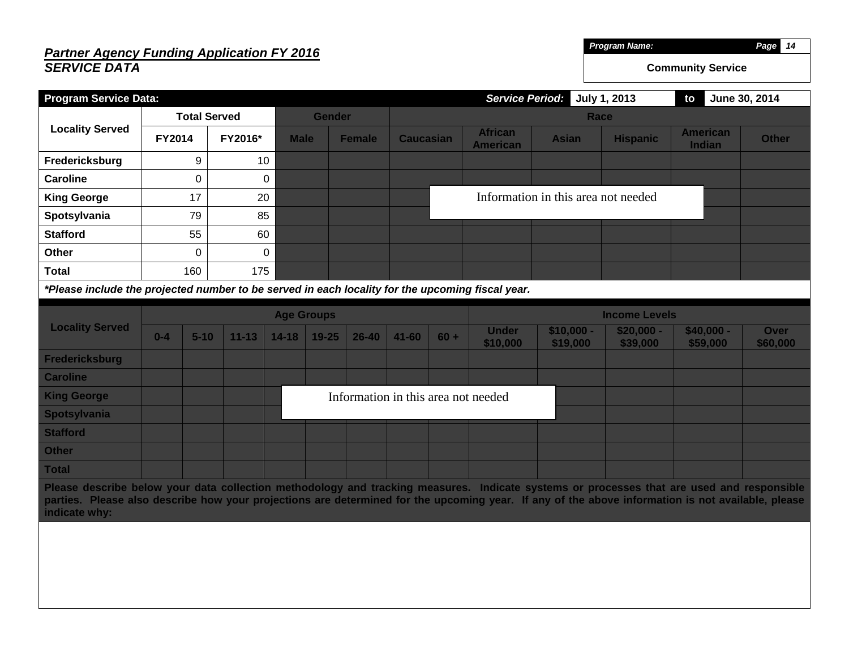#### *Partner Agency Funding Application FY 2016 SERVICE DATA Program Name: Page 14* **Community Service Program Service Data:** *Service Period:* **July 1, 2013 to June 30, 2014 Locality Served Total Served Gender Race FY2014 FY2016\* Male Female Caucasian African American Asian Hispanic American Indian Other Fredericksburg** 9 10 **Caroline**  $\begin{array}{ccc} & | & 0 & 0 \\ \end{array}$ **King George**  $\vert$  17 | 20 **Spotsylvania** | 79 85 **Stafford** 1 55 60 **Other** 1 0 0 0 **Total** 160 175 *\*Please include the projected number to be served in each locality for the upcoming fiscal year.* **Locality Served Age Groups Income Levels 0-4 5-10 11-13 14-18 19-25 26-40 41-60 60 + Under \$10,000 \$10,000 - \$19,000 \$20,000 - \$39,000 \$40,000 - \$59,000 \$60,000 Fredericksburg Caroline King George Spotsylvania Stafford Other Total Please describe below your data collection methodology and tracking measures. Indicate systems or processes that are used and responsible parties. Please also describe how your projections are determined for the upcoming year. If any of the above information is not available, please indicate why:** Information in this area not needed Information in this area not needed

**Over**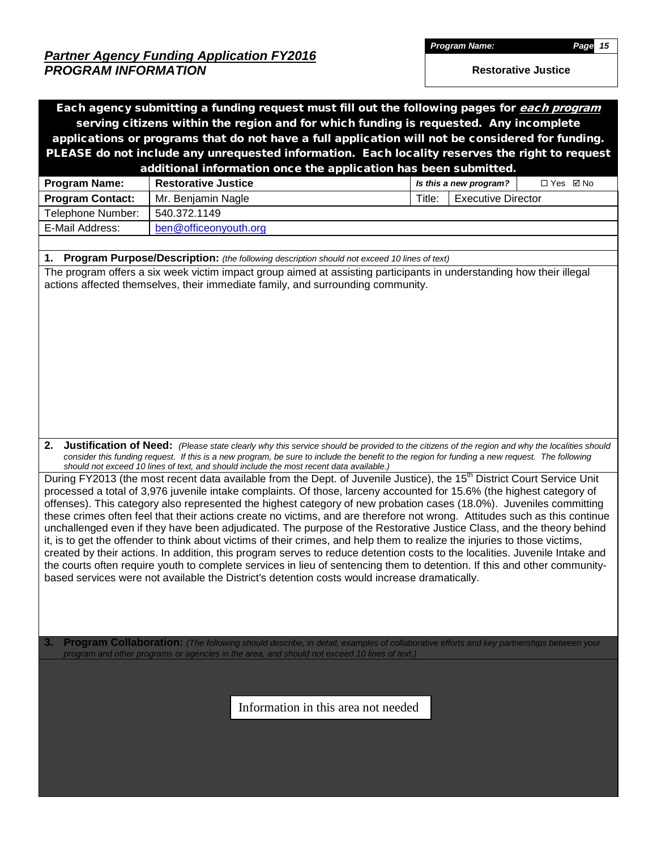*Program Name: Page 15*

**Restorative Justice**

| serving citizens within the region and for which funding is requested. Any incomplete<br>applications or programs that do not have a full application will not be considered for funding.<br>PLEASE do not include any unrequested information. Each locality reserves the right to request<br>additional information once the application has been submitted.<br><b>Restorative Justice</b><br>□ Yes ☑ No<br><b>Program Name:</b><br>Is this a new program?<br><b>Program Contact:</b><br>Title:<br><b>Executive Director</b><br>Mr. Benjamin Nagle<br>540.372.1149<br>Telephone Number:<br>E-Mail Address:<br>ben@officeonyouth.org<br>1.<br>Program Purpose/Description: (the following description should not exceed 10 lines of text)<br>The program offers a six week victim impact group aimed at assisting participants in understanding how their illegal<br>actions affected themselves, their immediate family, and surrounding community.<br>2.<br><b>Justification of Need:</b> (Please state clearly why this service should be provided to the citizens of the region and why the localities should<br>consider this funding request. If this is a new program, be sure to include the benefit to the region for funding a new request. The following<br>should not exceed 10 lines of text, and should include the most recent data available.)<br>During FY2013 (the most recent data available from the Dept. of Juvenile Justice), the 15 <sup>th</sup> District Court Service Unit<br>processed a total of 3,976 juvenile intake complaints. Of those, larceny accounted for 15.6% (the highest category of<br>offenses). This category also represented the highest category of new probation cases (18.0%). Juveniles committing<br>these crimes often feel that their actions create no victims, and are therefore not wrong. Attitudes such as this continue<br>unchallenged even if they have been adjudicated. The purpose of the Restorative Justice Class, and the theory behind<br>it, is to get the offender to think about victims of their crimes, and help them to realize the injuries to those victims,<br>created by their actions. In addition, this program serves to reduce detention costs to the localities. Juvenile Intake and<br>the courts often require youth to complete services in lieu of sentencing them to detention. If this and other community-<br>based services were not available the District's detention costs would increase dramatically.<br>Program Collaboration: (The following should describe, in detail, examples of collaborative efforts and key partnerships between your<br>3.<br>program and other programs or agencies in the area, and should not exceed 10 lines of text.)<br>Information in this area not needed |  | Each agency submitting a funding request must fill out the following pages for each program |  |  |  |  |  |  |  |  |  |
|-----------------------------------------------------------------------------------------------------------------------------------------------------------------------------------------------------------------------------------------------------------------------------------------------------------------------------------------------------------------------------------------------------------------------------------------------------------------------------------------------------------------------------------------------------------------------------------------------------------------------------------------------------------------------------------------------------------------------------------------------------------------------------------------------------------------------------------------------------------------------------------------------------------------------------------------------------------------------------------------------------------------------------------------------------------------------------------------------------------------------------------------------------------------------------------------------------------------------------------------------------------------------------------------------------------------------------------------------------------------------------------------------------------------------------------------------------------------------------------------------------------------------------------------------------------------------------------------------------------------------------------------------------------------------------------------------------------------------------------------------------------------------------------------------------------------------------------------------------------------------------------------------------------------------------------------------------------------------------------------------------------------------------------------------------------------------------------------------------------------------------------------------------------------------------------------------------------------------------------------------------------------------------------------------------------------------------------------------------------------------------------------------------------------------------------------------------------------------------------------------------------------------------------------------------------------------------------------------------------------------------------------------------------------------------------------------------------------------------------------------------------------------------------------------|--|---------------------------------------------------------------------------------------------|--|--|--|--|--|--|--|--|--|
|                                                                                                                                                                                                                                                                                                                                                                                                                                                                                                                                                                                                                                                                                                                                                                                                                                                                                                                                                                                                                                                                                                                                                                                                                                                                                                                                                                                                                                                                                                                                                                                                                                                                                                                                                                                                                                                                                                                                                                                                                                                                                                                                                                                                                                                                                                                                                                                                                                                                                                                                                                                                                                                                                                                                                                                               |  |                                                                                             |  |  |  |  |  |  |  |  |  |
|                                                                                                                                                                                                                                                                                                                                                                                                                                                                                                                                                                                                                                                                                                                                                                                                                                                                                                                                                                                                                                                                                                                                                                                                                                                                                                                                                                                                                                                                                                                                                                                                                                                                                                                                                                                                                                                                                                                                                                                                                                                                                                                                                                                                                                                                                                                                                                                                                                                                                                                                                                                                                                                                                                                                                                                               |  |                                                                                             |  |  |  |  |  |  |  |  |  |
|                                                                                                                                                                                                                                                                                                                                                                                                                                                                                                                                                                                                                                                                                                                                                                                                                                                                                                                                                                                                                                                                                                                                                                                                                                                                                                                                                                                                                                                                                                                                                                                                                                                                                                                                                                                                                                                                                                                                                                                                                                                                                                                                                                                                                                                                                                                                                                                                                                                                                                                                                                                                                                                                                                                                                                                               |  |                                                                                             |  |  |  |  |  |  |  |  |  |
|                                                                                                                                                                                                                                                                                                                                                                                                                                                                                                                                                                                                                                                                                                                                                                                                                                                                                                                                                                                                                                                                                                                                                                                                                                                                                                                                                                                                                                                                                                                                                                                                                                                                                                                                                                                                                                                                                                                                                                                                                                                                                                                                                                                                                                                                                                                                                                                                                                                                                                                                                                                                                                                                                                                                                                                               |  |                                                                                             |  |  |  |  |  |  |  |  |  |
|                                                                                                                                                                                                                                                                                                                                                                                                                                                                                                                                                                                                                                                                                                                                                                                                                                                                                                                                                                                                                                                                                                                                                                                                                                                                                                                                                                                                                                                                                                                                                                                                                                                                                                                                                                                                                                                                                                                                                                                                                                                                                                                                                                                                                                                                                                                                                                                                                                                                                                                                                                                                                                                                                                                                                                                               |  |                                                                                             |  |  |  |  |  |  |  |  |  |
|                                                                                                                                                                                                                                                                                                                                                                                                                                                                                                                                                                                                                                                                                                                                                                                                                                                                                                                                                                                                                                                                                                                                                                                                                                                                                                                                                                                                                                                                                                                                                                                                                                                                                                                                                                                                                                                                                                                                                                                                                                                                                                                                                                                                                                                                                                                                                                                                                                                                                                                                                                                                                                                                                                                                                                                               |  |                                                                                             |  |  |  |  |  |  |  |  |  |
|                                                                                                                                                                                                                                                                                                                                                                                                                                                                                                                                                                                                                                                                                                                                                                                                                                                                                                                                                                                                                                                                                                                                                                                                                                                                                                                                                                                                                                                                                                                                                                                                                                                                                                                                                                                                                                                                                                                                                                                                                                                                                                                                                                                                                                                                                                                                                                                                                                                                                                                                                                                                                                                                                                                                                                                               |  |                                                                                             |  |  |  |  |  |  |  |  |  |
|                                                                                                                                                                                                                                                                                                                                                                                                                                                                                                                                                                                                                                                                                                                                                                                                                                                                                                                                                                                                                                                                                                                                                                                                                                                                                                                                                                                                                                                                                                                                                                                                                                                                                                                                                                                                                                                                                                                                                                                                                                                                                                                                                                                                                                                                                                                                                                                                                                                                                                                                                                                                                                                                                                                                                                                               |  |                                                                                             |  |  |  |  |  |  |  |  |  |
|                                                                                                                                                                                                                                                                                                                                                                                                                                                                                                                                                                                                                                                                                                                                                                                                                                                                                                                                                                                                                                                                                                                                                                                                                                                                                                                                                                                                                                                                                                                                                                                                                                                                                                                                                                                                                                                                                                                                                                                                                                                                                                                                                                                                                                                                                                                                                                                                                                                                                                                                                                                                                                                                                                                                                                                               |  |                                                                                             |  |  |  |  |  |  |  |  |  |
|                                                                                                                                                                                                                                                                                                                                                                                                                                                                                                                                                                                                                                                                                                                                                                                                                                                                                                                                                                                                                                                                                                                                                                                                                                                                                                                                                                                                                                                                                                                                                                                                                                                                                                                                                                                                                                                                                                                                                                                                                                                                                                                                                                                                                                                                                                                                                                                                                                                                                                                                                                                                                                                                                                                                                                                               |  |                                                                                             |  |  |  |  |  |  |  |  |  |
|                                                                                                                                                                                                                                                                                                                                                                                                                                                                                                                                                                                                                                                                                                                                                                                                                                                                                                                                                                                                                                                                                                                                                                                                                                                                                                                                                                                                                                                                                                                                                                                                                                                                                                                                                                                                                                                                                                                                                                                                                                                                                                                                                                                                                                                                                                                                                                                                                                                                                                                                                                                                                                                                                                                                                                                               |  |                                                                                             |  |  |  |  |  |  |  |  |  |
|                                                                                                                                                                                                                                                                                                                                                                                                                                                                                                                                                                                                                                                                                                                                                                                                                                                                                                                                                                                                                                                                                                                                                                                                                                                                                                                                                                                                                                                                                                                                                                                                                                                                                                                                                                                                                                                                                                                                                                                                                                                                                                                                                                                                                                                                                                                                                                                                                                                                                                                                                                                                                                                                                                                                                                                               |  |                                                                                             |  |  |  |  |  |  |  |  |  |
|                                                                                                                                                                                                                                                                                                                                                                                                                                                                                                                                                                                                                                                                                                                                                                                                                                                                                                                                                                                                                                                                                                                                                                                                                                                                                                                                                                                                                                                                                                                                                                                                                                                                                                                                                                                                                                                                                                                                                                                                                                                                                                                                                                                                                                                                                                                                                                                                                                                                                                                                                                                                                                                                                                                                                                                               |  |                                                                                             |  |  |  |  |  |  |  |  |  |
|                                                                                                                                                                                                                                                                                                                                                                                                                                                                                                                                                                                                                                                                                                                                                                                                                                                                                                                                                                                                                                                                                                                                                                                                                                                                                                                                                                                                                                                                                                                                                                                                                                                                                                                                                                                                                                                                                                                                                                                                                                                                                                                                                                                                                                                                                                                                                                                                                                                                                                                                                                                                                                                                                                                                                                                               |  |                                                                                             |  |  |  |  |  |  |  |  |  |
|                                                                                                                                                                                                                                                                                                                                                                                                                                                                                                                                                                                                                                                                                                                                                                                                                                                                                                                                                                                                                                                                                                                                                                                                                                                                                                                                                                                                                                                                                                                                                                                                                                                                                                                                                                                                                                                                                                                                                                                                                                                                                                                                                                                                                                                                                                                                                                                                                                                                                                                                                                                                                                                                                                                                                                                               |  |                                                                                             |  |  |  |  |  |  |  |  |  |
|                                                                                                                                                                                                                                                                                                                                                                                                                                                                                                                                                                                                                                                                                                                                                                                                                                                                                                                                                                                                                                                                                                                                                                                                                                                                                                                                                                                                                                                                                                                                                                                                                                                                                                                                                                                                                                                                                                                                                                                                                                                                                                                                                                                                                                                                                                                                                                                                                                                                                                                                                                                                                                                                                                                                                                                               |  |                                                                                             |  |  |  |  |  |  |  |  |  |
|                                                                                                                                                                                                                                                                                                                                                                                                                                                                                                                                                                                                                                                                                                                                                                                                                                                                                                                                                                                                                                                                                                                                                                                                                                                                                                                                                                                                                                                                                                                                                                                                                                                                                                                                                                                                                                                                                                                                                                                                                                                                                                                                                                                                                                                                                                                                                                                                                                                                                                                                                                                                                                                                                                                                                                                               |  |                                                                                             |  |  |  |  |  |  |  |  |  |
|                                                                                                                                                                                                                                                                                                                                                                                                                                                                                                                                                                                                                                                                                                                                                                                                                                                                                                                                                                                                                                                                                                                                                                                                                                                                                                                                                                                                                                                                                                                                                                                                                                                                                                                                                                                                                                                                                                                                                                                                                                                                                                                                                                                                                                                                                                                                                                                                                                                                                                                                                                                                                                                                                                                                                                                               |  |                                                                                             |  |  |  |  |  |  |  |  |  |
|                                                                                                                                                                                                                                                                                                                                                                                                                                                                                                                                                                                                                                                                                                                                                                                                                                                                                                                                                                                                                                                                                                                                                                                                                                                                                                                                                                                                                                                                                                                                                                                                                                                                                                                                                                                                                                                                                                                                                                                                                                                                                                                                                                                                                                                                                                                                                                                                                                                                                                                                                                                                                                                                                                                                                                                               |  |                                                                                             |  |  |  |  |  |  |  |  |  |
|                                                                                                                                                                                                                                                                                                                                                                                                                                                                                                                                                                                                                                                                                                                                                                                                                                                                                                                                                                                                                                                                                                                                                                                                                                                                                                                                                                                                                                                                                                                                                                                                                                                                                                                                                                                                                                                                                                                                                                                                                                                                                                                                                                                                                                                                                                                                                                                                                                                                                                                                                                                                                                                                                                                                                                                               |  |                                                                                             |  |  |  |  |  |  |  |  |  |
|                                                                                                                                                                                                                                                                                                                                                                                                                                                                                                                                                                                                                                                                                                                                                                                                                                                                                                                                                                                                                                                                                                                                                                                                                                                                                                                                                                                                                                                                                                                                                                                                                                                                                                                                                                                                                                                                                                                                                                                                                                                                                                                                                                                                                                                                                                                                                                                                                                                                                                                                                                                                                                                                                                                                                                                               |  |                                                                                             |  |  |  |  |  |  |  |  |  |
|                                                                                                                                                                                                                                                                                                                                                                                                                                                                                                                                                                                                                                                                                                                                                                                                                                                                                                                                                                                                                                                                                                                                                                                                                                                                                                                                                                                                                                                                                                                                                                                                                                                                                                                                                                                                                                                                                                                                                                                                                                                                                                                                                                                                                                                                                                                                                                                                                                                                                                                                                                                                                                                                                                                                                                                               |  |                                                                                             |  |  |  |  |  |  |  |  |  |
|                                                                                                                                                                                                                                                                                                                                                                                                                                                                                                                                                                                                                                                                                                                                                                                                                                                                                                                                                                                                                                                                                                                                                                                                                                                                                                                                                                                                                                                                                                                                                                                                                                                                                                                                                                                                                                                                                                                                                                                                                                                                                                                                                                                                                                                                                                                                                                                                                                                                                                                                                                                                                                                                                                                                                                                               |  |                                                                                             |  |  |  |  |  |  |  |  |  |
|                                                                                                                                                                                                                                                                                                                                                                                                                                                                                                                                                                                                                                                                                                                                                                                                                                                                                                                                                                                                                                                                                                                                                                                                                                                                                                                                                                                                                                                                                                                                                                                                                                                                                                                                                                                                                                                                                                                                                                                                                                                                                                                                                                                                                                                                                                                                                                                                                                                                                                                                                                                                                                                                                                                                                                                               |  |                                                                                             |  |  |  |  |  |  |  |  |  |
|                                                                                                                                                                                                                                                                                                                                                                                                                                                                                                                                                                                                                                                                                                                                                                                                                                                                                                                                                                                                                                                                                                                                                                                                                                                                                                                                                                                                                                                                                                                                                                                                                                                                                                                                                                                                                                                                                                                                                                                                                                                                                                                                                                                                                                                                                                                                                                                                                                                                                                                                                                                                                                                                                                                                                                                               |  |                                                                                             |  |  |  |  |  |  |  |  |  |
|                                                                                                                                                                                                                                                                                                                                                                                                                                                                                                                                                                                                                                                                                                                                                                                                                                                                                                                                                                                                                                                                                                                                                                                                                                                                                                                                                                                                                                                                                                                                                                                                                                                                                                                                                                                                                                                                                                                                                                                                                                                                                                                                                                                                                                                                                                                                                                                                                                                                                                                                                                                                                                                                                                                                                                                               |  |                                                                                             |  |  |  |  |  |  |  |  |  |
|                                                                                                                                                                                                                                                                                                                                                                                                                                                                                                                                                                                                                                                                                                                                                                                                                                                                                                                                                                                                                                                                                                                                                                                                                                                                                                                                                                                                                                                                                                                                                                                                                                                                                                                                                                                                                                                                                                                                                                                                                                                                                                                                                                                                                                                                                                                                                                                                                                                                                                                                                                                                                                                                                                                                                                                               |  |                                                                                             |  |  |  |  |  |  |  |  |  |
|                                                                                                                                                                                                                                                                                                                                                                                                                                                                                                                                                                                                                                                                                                                                                                                                                                                                                                                                                                                                                                                                                                                                                                                                                                                                                                                                                                                                                                                                                                                                                                                                                                                                                                                                                                                                                                                                                                                                                                                                                                                                                                                                                                                                                                                                                                                                                                                                                                                                                                                                                                                                                                                                                                                                                                                               |  |                                                                                             |  |  |  |  |  |  |  |  |  |
|                                                                                                                                                                                                                                                                                                                                                                                                                                                                                                                                                                                                                                                                                                                                                                                                                                                                                                                                                                                                                                                                                                                                                                                                                                                                                                                                                                                                                                                                                                                                                                                                                                                                                                                                                                                                                                                                                                                                                                                                                                                                                                                                                                                                                                                                                                                                                                                                                                                                                                                                                                                                                                                                                                                                                                                               |  |                                                                                             |  |  |  |  |  |  |  |  |  |
|                                                                                                                                                                                                                                                                                                                                                                                                                                                                                                                                                                                                                                                                                                                                                                                                                                                                                                                                                                                                                                                                                                                                                                                                                                                                                                                                                                                                                                                                                                                                                                                                                                                                                                                                                                                                                                                                                                                                                                                                                                                                                                                                                                                                                                                                                                                                                                                                                                                                                                                                                                                                                                                                                                                                                                                               |  |                                                                                             |  |  |  |  |  |  |  |  |  |
|                                                                                                                                                                                                                                                                                                                                                                                                                                                                                                                                                                                                                                                                                                                                                                                                                                                                                                                                                                                                                                                                                                                                                                                                                                                                                                                                                                                                                                                                                                                                                                                                                                                                                                                                                                                                                                                                                                                                                                                                                                                                                                                                                                                                                                                                                                                                                                                                                                                                                                                                                                                                                                                                                                                                                                                               |  |                                                                                             |  |  |  |  |  |  |  |  |  |
|                                                                                                                                                                                                                                                                                                                                                                                                                                                                                                                                                                                                                                                                                                                                                                                                                                                                                                                                                                                                                                                                                                                                                                                                                                                                                                                                                                                                                                                                                                                                                                                                                                                                                                                                                                                                                                                                                                                                                                                                                                                                                                                                                                                                                                                                                                                                                                                                                                                                                                                                                                                                                                                                                                                                                                                               |  |                                                                                             |  |  |  |  |  |  |  |  |  |
|                                                                                                                                                                                                                                                                                                                                                                                                                                                                                                                                                                                                                                                                                                                                                                                                                                                                                                                                                                                                                                                                                                                                                                                                                                                                                                                                                                                                                                                                                                                                                                                                                                                                                                                                                                                                                                                                                                                                                                                                                                                                                                                                                                                                                                                                                                                                                                                                                                                                                                                                                                                                                                                                                                                                                                                               |  |                                                                                             |  |  |  |  |  |  |  |  |  |
|                                                                                                                                                                                                                                                                                                                                                                                                                                                                                                                                                                                                                                                                                                                                                                                                                                                                                                                                                                                                                                                                                                                                                                                                                                                                                                                                                                                                                                                                                                                                                                                                                                                                                                                                                                                                                                                                                                                                                                                                                                                                                                                                                                                                                                                                                                                                                                                                                                                                                                                                                                                                                                                                                                                                                                                               |  |                                                                                             |  |  |  |  |  |  |  |  |  |
|                                                                                                                                                                                                                                                                                                                                                                                                                                                                                                                                                                                                                                                                                                                                                                                                                                                                                                                                                                                                                                                                                                                                                                                                                                                                                                                                                                                                                                                                                                                                                                                                                                                                                                                                                                                                                                                                                                                                                                                                                                                                                                                                                                                                                                                                                                                                                                                                                                                                                                                                                                                                                                                                                                                                                                                               |  |                                                                                             |  |  |  |  |  |  |  |  |  |
|                                                                                                                                                                                                                                                                                                                                                                                                                                                                                                                                                                                                                                                                                                                                                                                                                                                                                                                                                                                                                                                                                                                                                                                                                                                                                                                                                                                                                                                                                                                                                                                                                                                                                                                                                                                                                                                                                                                                                                                                                                                                                                                                                                                                                                                                                                                                                                                                                                                                                                                                                                                                                                                                                                                                                                                               |  |                                                                                             |  |  |  |  |  |  |  |  |  |
|                                                                                                                                                                                                                                                                                                                                                                                                                                                                                                                                                                                                                                                                                                                                                                                                                                                                                                                                                                                                                                                                                                                                                                                                                                                                                                                                                                                                                                                                                                                                                                                                                                                                                                                                                                                                                                                                                                                                                                                                                                                                                                                                                                                                                                                                                                                                                                                                                                                                                                                                                                                                                                                                                                                                                                                               |  |                                                                                             |  |  |  |  |  |  |  |  |  |
|                                                                                                                                                                                                                                                                                                                                                                                                                                                                                                                                                                                                                                                                                                                                                                                                                                                                                                                                                                                                                                                                                                                                                                                                                                                                                                                                                                                                                                                                                                                                                                                                                                                                                                                                                                                                                                                                                                                                                                                                                                                                                                                                                                                                                                                                                                                                                                                                                                                                                                                                                                                                                                                                                                                                                                                               |  |                                                                                             |  |  |  |  |  |  |  |  |  |
|                                                                                                                                                                                                                                                                                                                                                                                                                                                                                                                                                                                                                                                                                                                                                                                                                                                                                                                                                                                                                                                                                                                                                                                                                                                                                                                                                                                                                                                                                                                                                                                                                                                                                                                                                                                                                                                                                                                                                                                                                                                                                                                                                                                                                                                                                                                                                                                                                                                                                                                                                                                                                                                                                                                                                                                               |  |                                                                                             |  |  |  |  |  |  |  |  |  |
|                                                                                                                                                                                                                                                                                                                                                                                                                                                                                                                                                                                                                                                                                                                                                                                                                                                                                                                                                                                                                                                                                                                                                                                                                                                                                                                                                                                                                                                                                                                                                                                                                                                                                                                                                                                                                                                                                                                                                                                                                                                                                                                                                                                                                                                                                                                                                                                                                                                                                                                                                                                                                                                                                                                                                                                               |  |                                                                                             |  |  |  |  |  |  |  |  |  |
|                                                                                                                                                                                                                                                                                                                                                                                                                                                                                                                                                                                                                                                                                                                                                                                                                                                                                                                                                                                                                                                                                                                                                                                                                                                                                                                                                                                                                                                                                                                                                                                                                                                                                                                                                                                                                                                                                                                                                                                                                                                                                                                                                                                                                                                                                                                                                                                                                                                                                                                                                                                                                                                                                                                                                                                               |  |                                                                                             |  |  |  |  |  |  |  |  |  |
|                                                                                                                                                                                                                                                                                                                                                                                                                                                                                                                                                                                                                                                                                                                                                                                                                                                                                                                                                                                                                                                                                                                                                                                                                                                                                                                                                                                                                                                                                                                                                                                                                                                                                                                                                                                                                                                                                                                                                                                                                                                                                                                                                                                                                                                                                                                                                                                                                                                                                                                                                                                                                                                                                                                                                                                               |  |                                                                                             |  |  |  |  |  |  |  |  |  |
|                                                                                                                                                                                                                                                                                                                                                                                                                                                                                                                                                                                                                                                                                                                                                                                                                                                                                                                                                                                                                                                                                                                                                                                                                                                                                                                                                                                                                                                                                                                                                                                                                                                                                                                                                                                                                                                                                                                                                                                                                                                                                                                                                                                                                                                                                                                                                                                                                                                                                                                                                                                                                                                                                                                                                                                               |  |                                                                                             |  |  |  |  |  |  |  |  |  |
|                                                                                                                                                                                                                                                                                                                                                                                                                                                                                                                                                                                                                                                                                                                                                                                                                                                                                                                                                                                                                                                                                                                                                                                                                                                                                                                                                                                                                                                                                                                                                                                                                                                                                                                                                                                                                                                                                                                                                                                                                                                                                                                                                                                                                                                                                                                                                                                                                                                                                                                                                                                                                                                                                                                                                                                               |  |                                                                                             |  |  |  |  |  |  |  |  |  |
|                                                                                                                                                                                                                                                                                                                                                                                                                                                                                                                                                                                                                                                                                                                                                                                                                                                                                                                                                                                                                                                                                                                                                                                                                                                                                                                                                                                                                                                                                                                                                                                                                                                                                                                                                                                                                                                                                                                                                                                                                                                                                                                                                                                                                                                                                                                                                                                                                                                                                                                                                                                                                                                                                                                                                                                               |  |                                                                                             |  |  |  |  |  |  |  |  |  |
|                                                                                                                                                                                                                                                                                                                                                                                                                                                                                                                                                                                                                                                                                                                                                                                                                                                                                                                                                                                                                                                                                                                                                                                                                                                                                                                                                                                                                                                                                                                                                                                                                                                                                                                                                                                                                                                                                                                                                                                                                                                                                                                                                                                                                                                                                                                                                                                                                                                                                                                                                                                                                                                                                                                                                                                               |  |                                                                                             |  |  |  |  |  |  |  |  |  |
|                                                                                                                                                                                                                                                                                                                                                                                                                                                                                                                                                                                                                                                                                                                                                                                                                                                                                                                                                                                                                                                                                                                                                                                                                                                                                                                                                                                                                                                                                                                                                                                                                                                                                                                                                                                                                                                                                                                                                                                                                                                                                                                                                                                                                                                                                                                                                                                                                                                                                                                                                                                                                                                                                                                                                                                               |  |                                                                                             |  |  |  |  |  |  |  |  |  |
|                                                                                                                                                                                                                                                                                                                                                                                                                                                                                                                                                                                                                                                                                                                                                                                                                                                                                                                                                                                                                                                                                                                                                                                                                                                                                                                                                                                                                                                                                                                                                                                                                                                                                                                                                                                                                                                                                                                                                                                                                                                                                                                                                                                                                                                                                                                                                                                                                                                                                                                                                                                                                                                                                                                                                                                               |  |                                                                                             |  |  |  |  |  |  |  |  |  |
|                                                                                                                                                                                                                                                                                                                                                                                                                                                                                                                                                                                                                                                                                                                                                                                                                                                                                                                                                                                                                                                                                                                                                                                                                                                                                                                                                                                                                                                                                                                                                                                                                                                                                                                                                                                                                                                                                                                                                                                                                                                                                                                                                                                                                                                                                                                                                                                                                                                                                                                                                                                                                                                                                                                                                                                               |  |                                                                                             |  |  |  |  |  |  |  |  |  |
|                                                                                                                                                                                                                                                                                                                                                                                                                                                                                                                                                                                                                                                                                                                                                                                                                                                                                                                                                                                                                                                                                                                                                                                                                                                                                                                                                                                                                                                                                                                                                                                                                                                                                                                                                                                                                                                                                                                                                                                                                                                                                                                                                                                                                                                                                                                                                                                                                                                                                                                                                                                                                                                                                                                                                                                               |  |                                                                                             |  |  |  |  |  |  |  |  |  |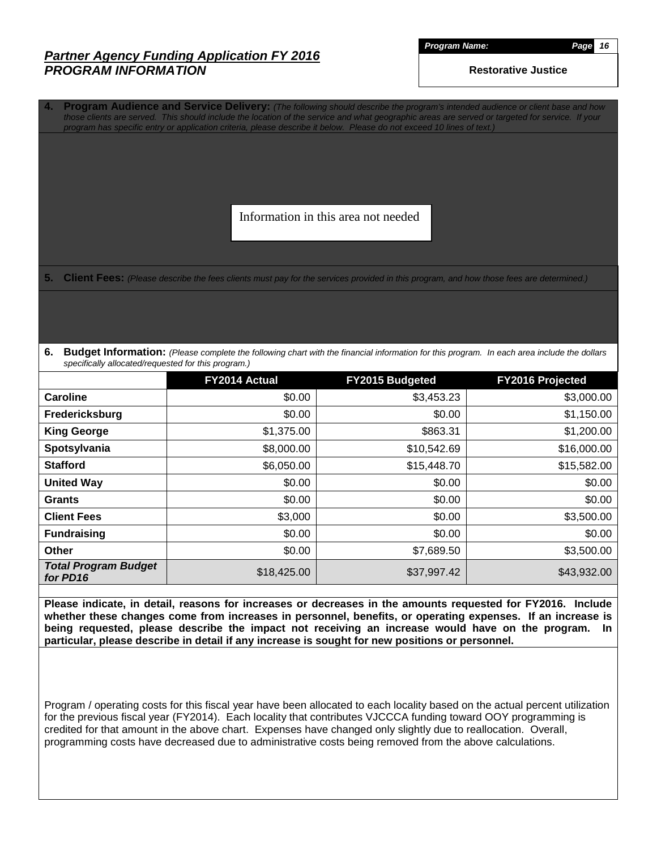*Program Name: Page 16*

**Restorative Justice**

**4. Program Audience and Service Delivery:** *(The following should describe the program's intended audience or client base and how those clients are served. This should include the location of the service and what geographic areas are served or targeted for service. If your program has specific entry or application criteria, please describe it below. Please do not exceed 10 lines of text.)*

Information in this area not needed

**5. Client Fees:** *(Please describe the fees clients must pay for the services provided in this program, and how those fees are determined.)*

**6. Budget Information:** *(Please complete the following chart with the financial information for this program. In each area include the dollars specifically allocated/requested for this program.)*

|                                         | FY2014 Actual | <b>FY2015 Budgeted</b> | <b>FY2016 Projected</b> |
|-----------------------------------------|---------------|------------------------|-------------------------|
| Caroline                                | \$0.00        | \$3,453.23             | \$3,000.00              |
| Fredericksburg                          | \$0.00        | \$0.00                 | \$1,150.00              |
| <b>King George</b>                      | \$1,375.00    | \$863.31               | \$1,200.00              |
| Spotsylvania                            | \$8,000.00    | \$10,542.69            | \$16,000.00             |
| <b>Stafford</b>                         | \$6,050.00    | \$15,448.70            | \$15,582.00             |
| <b>United Way</b>                       | \$0.00        | \$0.00                 | \$0.00                  |
| <b>Grants</b>                           | \$0.00        | \$0.00                 | \$0.00                  |
| <b>Client Fees</b>                      | \$3,000       | \$0.00                 | \$3,500.00              |
| <b>Fundraising</b>                      | \$0.00        | \$0.00                 | \$0.00                  |
| <b>Other</b>                            | \$0.00        | \$7,689.50             | \$3,500.00              |
| <b>Total Program Budget</b><br>for PD16 | \$18,425.00   | \$37,997.42            | \$43,932.00             |

**Please indicate, in detail, reasons for increases or decreases in the amounts requested for FY2016. Include whether these changes come from increases in personnel, benefits, or operating expenses. If an increase is being requested, please describe the impact not receiving an increase would have on the program. In particular, please describe in detail if any increase is sought for new positions or personnel.**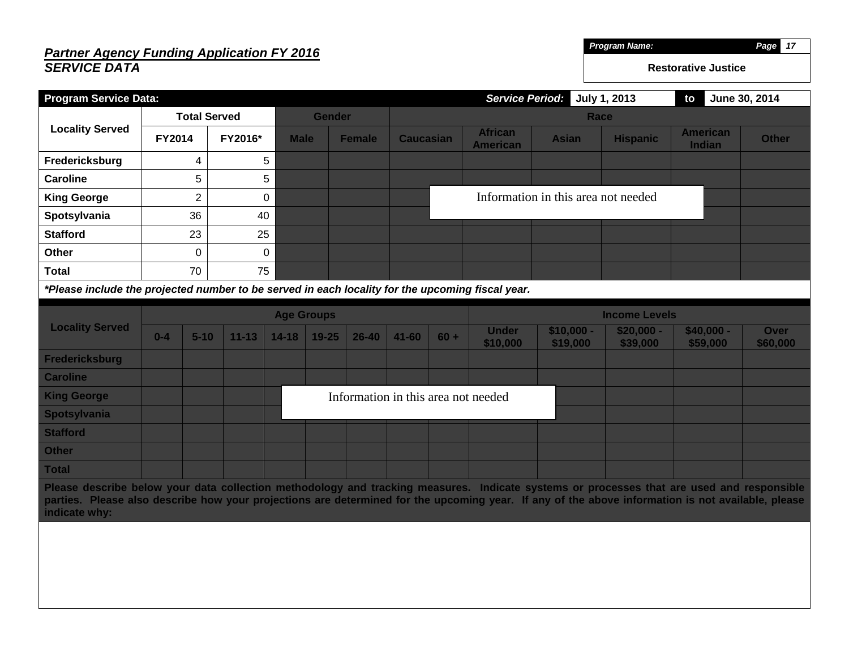#### *Partner Agency Funding Application FY 2016 SERVICE DATA Program Name: Page 17* **Restorative Justice Program Service Data:** *Service Period:* **July 1, 2013 to June 30, 2014 Locality Served Total Served Gender Race FY2014 FY2016\* Male Female Caucasian African American Asian Hispanic American Indian Other Fredericksburg 4** 5 **Caroline**  $\begin{array}{ccc} 5 & 5 \end{array}$  5 **King George**  $\begin{array}{ccc} \vert & 2 \vert & 0 \end{array}$ **Spotsylvania**  $\begin{array}{|c|c|c|c|} \hline \text{36} & \text{40} \end{array}$ **Stafford** 23 25 **Other** 1 0 0 0 **Total** 70 75 *\*Please include the projected number to be served in each locality for the upcoming fiscal year.* **Locality Served Age Groups Income Levels 0-4 5-10 11-13 14-18 19-25 26-40 41-60 60 + Under \$10,000 \$10,000 - \$19,000 \$20,000 - \$39,000 \$40,000 - \$59,000 Over \$60,000 Fredericksburg Caroline King George Spotsylvania Stafford Other Total Please describe below your data collection methodology and tracking measures. Indicate systems or processes that are used and responsible parties. Please also describe how your projections are determined for the upcoming year. If any of the above information is not available, please indicate why:** Information in this area not needed Information in this area not needed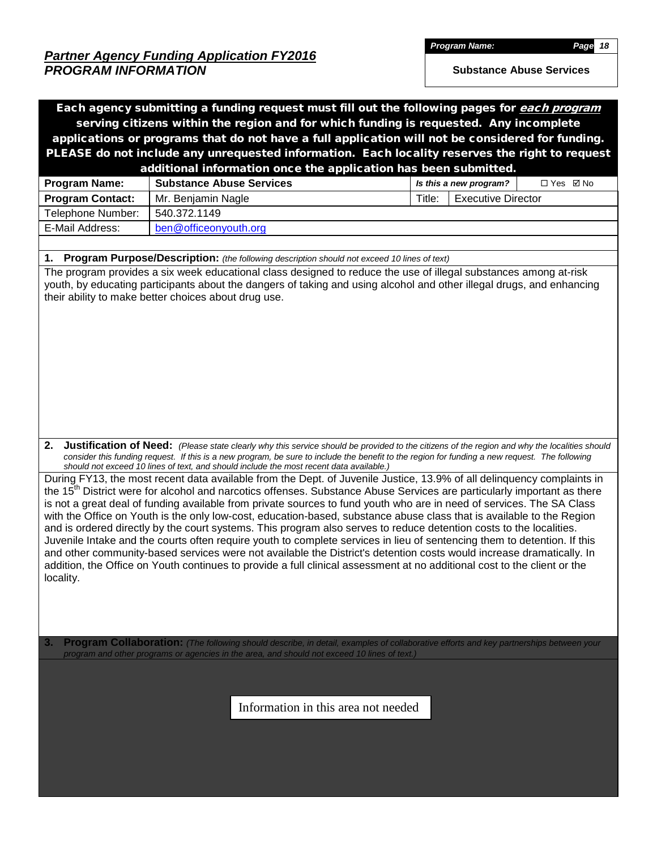*Program Name: Page 18*

**Substance Abuse Services**

| Each agency submitting a funding request must fill out the following pages for each program<br>serving citizens within the region and for which funding is requested. Any incomplete                                                                                                                                                                                                                                                                                                                                                                                                                                                                                                                                                                               |                                 |                                                                                                    |                                     |                        |                                                                                                                                                                                                                                                                                                       |  |  |  |  |
|--------------------------------------------------------------------------------------------------------------------------------------------------------------------------------------------------------------------------------------------------------------------------------------------------------------------------------------------------------------------------------------------------------------------------------------------------------------------------------------------------------------------------------------------------------------------------------------------------------------------------------------------------------------------------------------------------------------------------------------------------------------------|---------------------------------|----------------------------------------------------------------------------------------------------|-------------------------------------|------------------------|-------------------------------------------------------------------------------------------------------------------------------------------------------------------------------------------------------------------------------------------------------------------------------------------------------|--|--|--|--|
|                                                                                                                                                                                                                                                                                                                                                                                                                                                                                                                                                                                                                                                                                                                                                                    |                                 |                                                                                                    |                                     |                        | applications or programs that do not have a full application will not be considered for funding.                                                                                                                                                                                                      |  |  |  |  |
|                                                                                                                                                                                                                                                                                                                                                                                                                                                                                                                                                                                                                                                                                                                                                                    |                                 |                                                                                                    |                                     |                        | PLEASE do not include any unrequested information. Each locality reserves the right to request                                                                                                                                                                                                        |  |  |  |  |
|                                                                                                                                                                                                                                                                                                                                                                                                                                                                                                                                                                                                                                                                                                                                                                    |                                 | additional information once the application has been submitted.                                    |                                     |                        |                                                                                                                                                                                                                                                                                                       |  |  |  |  |
| <b>Program Name:</b>                                                                                                                                                                                                                                                                                                                                                                                                                                                                                                                                                                                                                                                                                                                                               | <b>Substance Abuse Services</b> |                                                                                                    |                                     | Is this a new program? | □ Yes ☑ No                                                                                                                                                                                                                                                                                            |  |  |  |  |
|                                                                                                                                                                                                                                                                                                                                                                                                                                                                                                                                                                                                                                                                                                                                                                    |                                 |                                                                                                    |                                     | Title:                 | <b>Executive Director</b>                                                                                                                                                                                                                                                                             |  |  |  |  |
| <b>Program Contact:</b>                                                                                                                                                                                                                                                                                                                                                                                                                                                                                                                                                                                                                                                                                                                                            | Mr. Benjamin Nagle              |                                                                                                    |                                     |                        |                                                                                                                                                                                                                                                                                                       |  |  |  |  |
| Telephone Number:                                                                                                                                                                                                                                                                                                                                                                                                                                                                                                                                                                                                                                                                                                                                                  | 540.372.1149                    |                                                                                                    |                                     |                        |                                                                                                                                                                                                                                                                                                       |  |  |  |  |
| E-Mail Address:                                                                                                                                                                                                                                                                                                                                                                                                                                                                                                                                                                                                                                                                                                                                                    | ben@officeonyouth.org           |                                                                                                    |                                     |                        |                                                                                                                                                                                                                                                                                                       |  |  |  |  |
|                                                                                                                                                                                                                                                                                                                                                                                                                                                                                                                                                                                                                                                                                                                                                                    |                                 |                                                                                                    |                                     |                        |                                                                                                                                                                                                                                                                                                       |  |  |  |  |
| 1.                                                                                                                                                                                                                                                                                                                                                                                                                                                                                                                                                                                                                                                                                                                                                                 |                                 | <b>Program Purpose/Description:</b> (the following description should not exceed 10 lines of text) |                                     |                        |                                                                                                                                                                                                                                                                                                       |  |  |  |  |
| The program provides a six week educational class designed to reduce the use of illegal substances among at-risk<br>their ability to make better choices about drug use.                                                                                                                                                                                                                                                                                                                                                                                                                                                                                                                                                                                           |                                 |                                                                                                    |                                     |                        | youth, by educating participants about the dangers of taking and using alcohol and other illegal drugs, and enhancing                                                                                                                                                                                 |  |  |  |  |
| 2.                                                                                                                                                                                                                                                                                                                                                                                                                                                                                                                                                                                                                                                                                                                                                                 |                                 | should not exceed 10 lines of text, and should include the most recent data available.)            |                                     |                        | <b>Justification of Need:</b> (Please state clearly why this service should be provided to the citizens of the region and why the localities should<br>consider this funding request. If this is a new program, be sure to include the benefit to the region for funding a new request. The following |  |  |  |  |
| is not a great deal of funding available from private sources to fund youth who are in need of services. The SA Class<br>with the Office on Youth is the only low-cost, education-based, substance abuse class that is available to the Region<br>and is ordered directly by the court systems. This program also serves to reduce detention costs to the localities.<br>Juvenile Intake and the courts often require youth to complete services in lieu of sentencing them to detention. If this<br>and other community-based services were not available the District's detention costs would increase dramatically. In<br>addition, the Office on Youth continues to provide a full clinical assessment at no additional cost to the client or the<br>locality. |                                 |                                                                                                    |                                     |                        | During FY13, the most recent data available from the Dept. of Juvenile Justice, 13.9% of all delinquency complaints in<br>the 15 <sup>th</sup> District were for alcohol and narcotics offenses. Substance Abuse Services are particularly important as there                                         |  |  |  |  |
| 3.                                                                                                                                                                                                                                                                                                                                                                                                                                                                                                                                                                                                                                                                                                                                                                 |                                 | program and other programs or agencies in the area, and should not exceed 10 lines of text.)       |                                     |                        | Program Collaboration: (The following should describe, in detail, examples of collaborative efforts and key partnerships between your                                                                                                                                                                 |  |  |  |  |
|                                                                                                                                                                                                                                                                                                                                                                                                                                                                                                                                                                                                                                                                                                                                                                    |                                 |                                                                                                    | Information in this area not needed |                        |                                                                                                                                                                                                                                                                                                       |  |  |  |  |
|                                                                                                                                                                                                                                                                                                                                                                                                                                                                                                                                                                                                                                                                                                                                                                    |                                 |                                                                                                    |                                     |                        |                                                                                                                                                                                                                                                                                                       |  |  |  |  |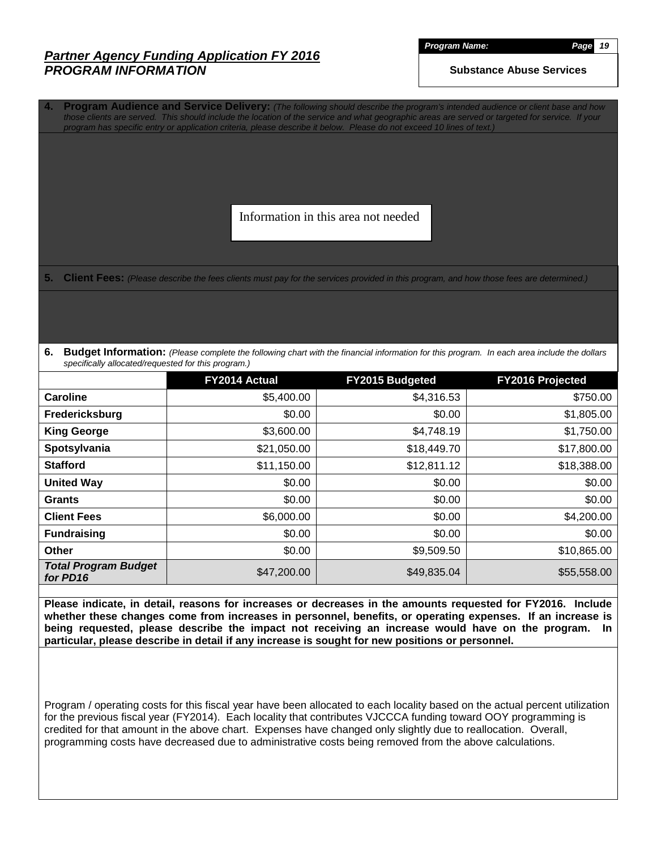*Program Name: Page 19*

**Substance Abuse Services**

**4. Program Audience and Service Delivery:** *(The following should describe the program's intended audience or client base and how those clients are served. This should include the location of the service and what geographic areas are served or targeted for service. If your program has specific entry or application criteria, please describe it below. Please do not exceed 10 lines of text.)*

Information in this area not needed

**5. Client Fees:** *(Please describe the fees clients must pay for the services provided in this program, and how those fees are determined.)*

**6. Budget Information:** *(Please complete the following chart with the financial information for this program. In each area include the dollars specifically allocated/requested for this program.)*

|                                         | FY2014 Actual | <b>FY2015 Budgeted</b> | <b>FY2016 Projected</b> |
|-----------------------------------------|---------------|------------------------|-------------------------|
| Caroline                                | \$5,400.00    | \$4,316.53             | \$750.00                |
| Fredericksburg                          | \$0.00        | \$0.00                 | \$1,805.00              |
| <b>King George</b>                      | \$3,600.00    | \$4,748.19             | \$1,750.00              |
| Spotsylvania                            | \$21,050.00   | \$18,449.70            | \$17,800.00             |
| <b>Stafford</b>                         | \$11,150.00   | \$12,811.12            | \$18,388.00             |
| <b>United Way</b>                       | \$0.00        | \$0.00                 | \$0.00                  |
| <b>Grants</b>                           | \$0.00        | \$0.00                 | \$0.00                  |
| <b>Client Fees</b>                      | \$6,000.00    | \$0.00                 | \$4,200.00              |
| <b>Fundraising</b>                      | \$0.00        | \$0.00                 | \$0.00                  |
| <b>Other</b>                            | \$0.00        | \$9,509.50             | \$10,865.00             |
| <b>Total Program Budget</b><br>for PD16 | \$47,200.00   | \$49,835.04            | \$55,558.00             |

**Please indicate, in detail, reasons for increases or decreases in the amounts requested for FY2016. Include whether these changes come from increases in personnel, benefits, or operating expenses. If an increase is being requested, please describe the impact not receiving an increase would have on the program. In particular, please describe in detail if any increase is sought for new positions or personnel.**